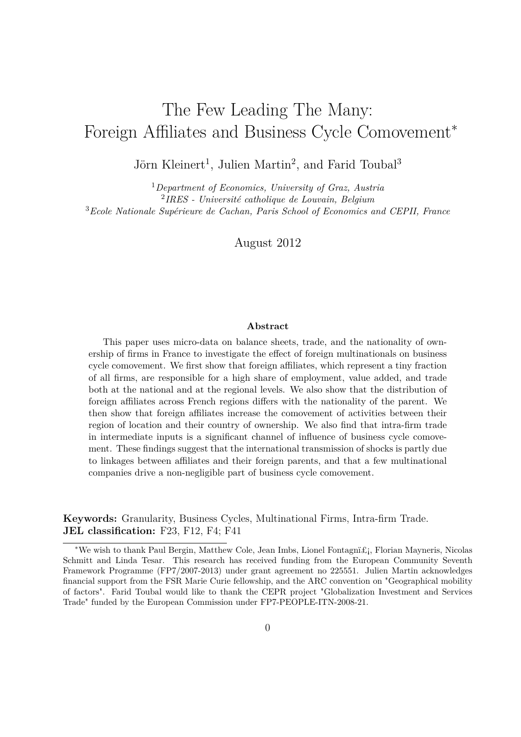# <span id="page-0-0"></span>The Few Leading The Many: Foreign Affiliates and Business Cycle Comovement<sup>∗</sup>

Jörn Kleinert<sup>1</sup>, Julien Martin<sup>2</sup>, and Farid Toubal<sup>3</sup>

<sup>1</sup>*Department of Economics, University of Graz, Austria* 2 *IRES - Université catholique de Louvain, Belgium* <sup>3</sup>*Ecole Nationale Supérieure de Cachan, Paris School of Economics and CEPII, France*

August 2012

#### **Abstract**

This paper uses micro-data on balance sheets, trade, and the nationality of ownership of firms in France to investigate the effect of foreign multinationals on business cycle comovement. We first show that foreign affiliates, which represent a tiny fraction of all firms, are responsible for a high share of employment, value added, and trade both at the national and at the regional levels. We also show that the distribution of foreign affiliates across French regions differs with the nationality of the parent. We then show that foreign affiliates increase the comovement of activities between their region of location and their country of ownership. We also find that intra-firm trade in intermediate inputs is a significant channel of influence of business cycle comovement. These findings suggest that the international transmission of shocks is partly due to linkages between affiliates and their foreign parents, and that a few multinational companies drive a non-negligible part of business cycle comovement.

**Keywords:** Granularity, Business Cycles, Multinational Firms, Intra-firm Trade. **JEL classification:** F23, F12, F4; F41

<sup>∗</sup>We wish to thank Paul Bergin, Matthew Cole, Jean Imbs, Lionel Fontagn, Florian Mayneris, Nicolas Schmitt and Linda Tesar. This research has received funding from the European Community Seventh Framework Programme (FP7/2007-2013) under grant agreement no 225551. Julien Martin acknowledges financial support from the FSR Marie Curie fellowship, and the ARC convention on "Geographical mobility of factors". Farid Toubal would like to thank the CEPR project "Globalization Investment and Services Trade" funded by the European Commission under FP7-PEOPLE-ITN-2008-21.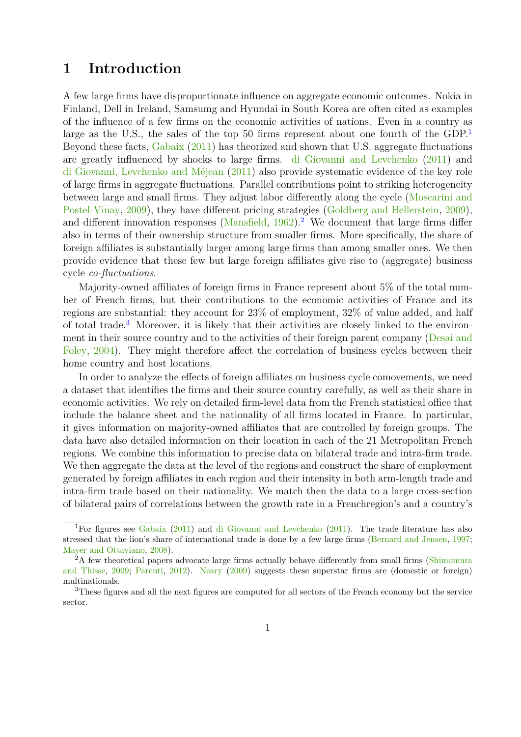### **1 Introduction**

A few large firms have disproportionate influence on aggregate economic outcomes. Nokia in Finland, Dell in Ireland, Samsumg and Hyundai in South Korea are often cited as examples of the influence of a few firms on the economic activities of nations. Even in a country as large as the U.S., the sales of the top 50 firms represent about one fourth of the  $GDP<sup>1</sup>$  $GDP<sup>1</sup>$  $GDP<sup>1</sup>$ Beyond these facts, [Gabaix](#page-20-0) [\(2011\)](#page-20-0) has theorized and shown that U.S. aggregate fluctuations are greatly influenced by shocks to large firms. [di Giovanni and Levchenko](#page-19-0) [\(2011\)](#page-19-0) and [di Giovanni, Levchenko and Méjean](#page-19-1) [\(2011\)](#page-19-1) also provide systematic evidence of the key role of large firms in aggregate fluctuations. Parallel contributions point to striking heterogeneity between large and small firms. They adjust labor differently along the cycle [\(Moscarini and](#page-21-0) [Postel-Vinay,](#page-21-0) [2009\)](#page-21-0), they have different pricing strategies [\(Goldberg and Hellerstein,](#page-20-1) [2009\)](#page-20-1), and different innovation responses [\(Mansfield,](#page-21-1)  $1962$  $1962$ ).<sup>2</sup> We document that large firms differ also in terms of their ownership structure from smaller firms. More specifically, the share of foreign affiliates is substantially larger among large firms than among smaller ones. We then provide evidence that these few but large foreign affiliates give rise to (aggregate) business cycle *co-fluctuations*.

Majority-owned affiliates of foreign firms in France represent about 5% of the total number of French firms, but their contributions to the economic activities of France and its regions are substantial: they account for 23% of employment, 32% of value added, and half of total trade.[3](#page-0-0) Moreover, it is likely that their activities are closely linked to the environment in their source country and to the activities of their foreign parent company [\(Desai and](#page-19-2) [Foley,](#page-19-2) [2004\)](#page-19-2). They might therefore affect the correlation of business cycles between their home country and host locations.

In order to analyze the effects of foreign affiliates on business cycle comovements, we need a dataset that identifies the firms and their source country carefully, as well as their share in economic activities. We rely on detailed firm-level data from the French statistical office that include the balance sheet and the nationality of all firms located in France. In particular, it gives information on majority-owned affiliates that are controlled by foreign groups. The data have also detailed information on their location in each of the 21 Metropolitan French regions. We combine this information to precise data on bilateral trade and intra-firm trade. We then aggregate the data at the level of the regions and construct the share of employment generated by foreign affiliates in each region and their intensity in both arm-length trade and intra-firm trade based on their nationality. We match then the data to a large cross-section of bilateral pairs of correlations between the growth rate in a Frenchregion's and a country's

<sup>&</sup>lt;sup>1</sup>For figures see [Gabaix](#page-20-0) [\(2011\)](#page-19-0) and [di Giovanni and Levchenko](#page-19-0) (2011). The trade literature has also stressed that the lion's share of international trade is done by a few large firms [\(Bernard and Jensen,](#page-19-3) [1997;](#page-19-3) [Mayer and Ottaviano,](#page-21-2) [2008\)](#page-21-2).

<sup>&</sup>lt;sup>2</sup>A few theoretical papers advocate large firms actually behave differently from small firms [\(Shimomura](#page-21-3) [and Thisse,](#page-21-3) [2009;](#page-21-3) [Parenti,](#page-21-4) [2012\)](#page-21-4). [Neary](#page-21-5) [\(2009\)](#page-21-5) suggests these superstar firms are (domestic or foreign) multinationals.

<sup>&</sup>lt;sup>3</sup>These figures and all the next figures are computed for all sectors of the French economy but the service sector.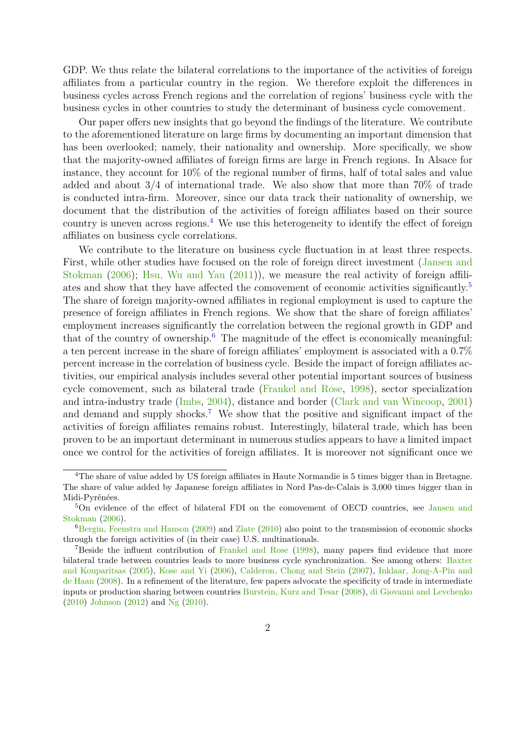GDP. We thus relate the bilateral correlations to the importance of the activities of foreign affiliates from a particular country in the region. We therefore exploit the differences in business cycles across French regions and the correlation of regions' business cycle with the business cycles in other countries to study the determinant of business cycle comovement.

Our paper offers new insights that go beyond the findings of the literature. We contribute to the aforementioned literature on large firms by documenting an important dimension that has been overlooked; namely, their nationality and ownership. More specifically, we show that the majority-owned affiliates of foreign firms are large in French regions. In Alsace for instance, they account for 10% of the regional number of firms, half of total sales and value added and about  $3/4$  of international trade. We also show that more than  $70\%$  of trade is conducted intra-firm. Moreover, since our data track their nationality of ownership, we document that the distribution of the activities of foreign affiliates based on their source country is uneven across regions.<sup>[4](#page-0-0)</sup> We use this heterogeneity to identify the effect of foreign affiliates on business cycle correlations.

We contribute to the literature on business cycle fluctuation in at least three respects. First, while other studies have focused on the role of foreign direct investment [\(Jansen and](#page-20-2) [Stokman](#page-20-2) [\(2006\)](#page-20-2); [Hsu, Wu and Yau](#page-20-3) [\(2011\)](#page-20-3)), we measure the real activity of foreign affiliates and show that they have affected the comovement of economic activities significantly.[5](#page-0-0) The share of foreign majority-owned affiliates in regional employment is used to capture the presence of foreign affiliates in French regions. We show that the share of foreign affiliates' employment increases significantly the correlation between the regional growth in GDP and that of the country of ownership.<sup>[6](#page-0-0)</sup> The magnitude of the effect is economically meaningful: a ten percent increase in the share of foreign affiliates' employment is associated with a 0.7% percent increase in the correlation of business cycle. Beside the impact of foreign affiliates activities, our empirical analysis includes several other potential important sources of business cycle comovement, such as bilateral trade [\(Frankel and Rose,](#page-20-4) [1998\)](#page-20-4), sector specialization and intra-industry trade [\(Imbs,](#page-20-5) [2004\)](#page-20-5), distance and border [\(Clark and van Wincoop,](#page-19-4) [2001\)](#page-19-4) and demand and supply shocks.<sup>[7](#page-0-0)</sup> We show that the positive and significant impact of the activities of foreign affiliates remains robust. Interestingly, bilateral trade, which has been proven to be an important determinant in numerous studies appears to have a limited impact once we control for the activities of foreign affiliates. It is moreover not significant once we

<sup>4</sup>The share of value added by US foreign affiliates in Haute Normandie is 5 times bigger than in Bretagne. The share of value added by Japanese foreign affiliates in Nord Pas-de-Calais is 3,000 times bigger than in Midi-Pyrénées.

<sup>&</sup>lt;sup>5</sup>On evidence of the effect of bilateral FDI on the comovement of OECD countries, see [Jansen and](#page-20-2) [Stokman](#page-20-2) [\(2006\)](#page-20-2).

 ${}^{6}$ [Bergin, Feenstra and Hanson](#page-19-5) [\(2009\)](#page-19-5) and [Zlate](#page-21-6) [\(2010\)](#page-21-6) also point to the transmission of economic shocks through the foreign activities of (in their case) U.S. multinationals.

<sup>7</sup>Beside the influent contribution of [Frankel and Rose](#page-20-4) [\(1998\)](#page-20-4), many papers find evidence that more bilateral trade between countries leads to more business cycle synchronization. See among others: [Baxter](#page-19-6) [and Kouparitsas](#page-19-6) [\(2005\)](#page-19-6), [Kose and Yi](#page-20-6) [\(2006\)](#page-20-6), [Calderon, Chong and Stein](#page-19-7) [\(2007\)](#page-19-7), [Inklaar, Jong-A-Pin and](#page-20-7) [de Haan](#page-20-7) [\(2008\)](#page-20-7). In a refinement of the literature, few papers advocate the specificity of trade in intermediate inputs or production sharing between countries [Burstein, Kurz and Tesar](#page-19-8) [\(2008\)](#page-19-8), [di Giovanni and Levchenko](#page-19-9) [\(2010\)](#page-19-9) [Johnson](#page-20-8) [\(2012\)](#page-20-8) and [Ng](#page-21-7) [\(2010\)](#page-21-7).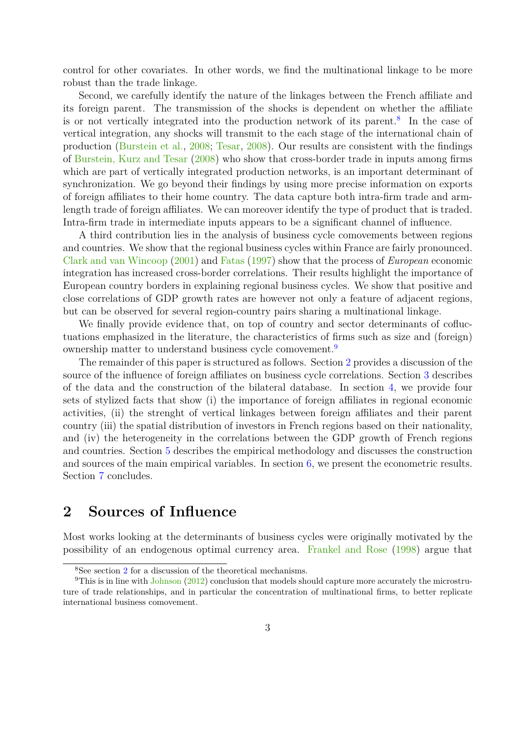control for other covariates. In other words, we find the multinational linkage to be more robust than the trade linkage.

Second, we carefully identify the nature of the linkages between the French affiliate and its foreign parent. The transmission of the shocks is dependent on whether the affiliate is or not vertically integrated into the production network of its parent.<sup>[8](#page-0-0)</sup> In the case of vertical integration, any shocks will transmit to the each stage of the international chain of production [\(Burstein et al.,](#page-19-8) [2008;](#page-19-8) [Tesar,](#page-21-8) [2008\)](#page-21-8). Our results are consistent with the findings of [Burstein, Kurz and Tesar](#page-19-8) [\(2008\)](#page-19-8) who show that cross-border trade in inputs among firms which are part of vertically integrated production networks, is an important determinant of synchronization. We go beyond their findings by using more precise information on exports of foreign affiliates to their home country. The data capture both intra-firm trade and armlength trade of foreign affiliates. We can moreover identify the type of product that is traded. Intra-firm trade in intermediate inputs appears to be a significant channel of influence.

A third contribution lies in the analysis of business cycle comovements between regions and countries. We show that the regional business cycles within France are fairly pronounced. [Clark and van Wincoop](#page-19-4) [\(2001\)](#page-19-4) and [Fatas](#page-20-9) [\(1997\)](#page-20-9) show that the process of *European* economic integration has increased cross-border correlations. Their results highlight the importance of European country borders in explaining regional business cycles. We show that positive and close correlations of GDP growth rates are however not only a feature of adjacent regions, but can be observed for several region-country pairs sharing a multinational linkage.

We finally provide evidence that, on top of country and sector determinants of cofluctuations emphasized in the literature, the characteristics of firms such as size and (foreign) ownership matter to understand business cycle comovement.[9](#page-0-0)

The remainder of this paper is structured as follows. Section [2](#page-3-0) provides a discussion of the source of the influence of foreign affiliates on business cycle correlations. Section [3](#page-5-0) describes of the data and the construction of the bilateral database. In section [4,](#page-7-0) we provide four sets of stylized facts that show (i) the importance of foreign affiliates in regional economic activities, (ii) the strenght of vertical linkages between foreign affiliates and their parent country (iii) the spatial distribution of investors in French regions based on their nationality, and (iv) the heterogeneity in the correlations between the GDP growth of French regions and countries. Section [5](#page-11-0) describes the empirical methodology and discusses the construction and sources of the main empirical variables. In section [6,](#page-14-0) we present the econometric results. Section [7](#page-17-0) concludes.

### <span id="page-3-0"></span>**2 Sources of Influence**

Most works looking at the determinants of business cycles were originally motivated by the possibility of an endogenous optimal currency area. [Frankel and Rose](#page-20-4) [\(1998\)](#page-20-4) argue that

<sup>8</sup>See section [2](#page-3-0) for a discussion of the theoretical mechanisms.

<sup>9</sup>This is in line with [Johnson](#page-20-8) [\(2012\)](#page-20-8) conclusion that models should capture more accurately the microstruture of trade relationships, and in particular the concentration of multinational firms, to better replicate international business comovement.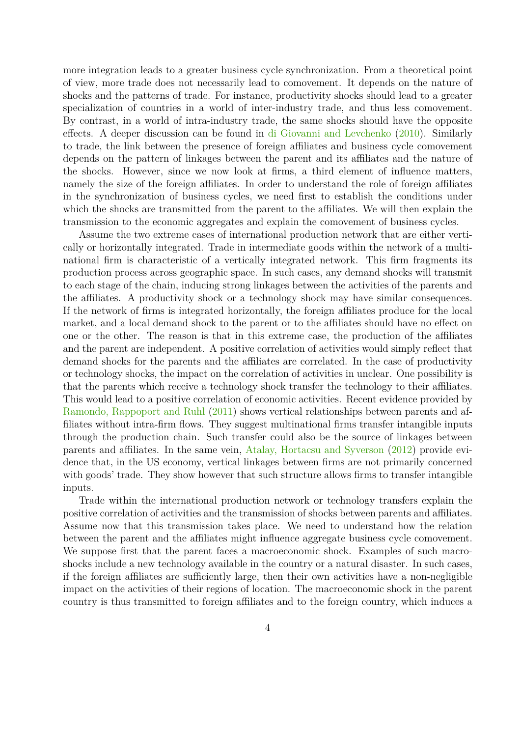more integration leads to a greater business cycle synchronization. From a theoretical point of view, more trade does not necessarily lead to comovement. It depends on the nature of shocks and the patterns of trade. For instance, productivity shocks should lead to a greater specialization of countries in a world of inter-industry trade, and thus less comovement. By contrast, in a world of intra-industry trade, the same shocks should have the opposite effects. A deeper discussion can be found in [di Giovanni and Levchenko](#page-19-9) [\(2010\)](#page-19-9). Similarly to trade, the link between the presence of foreign affiliates and business cycle comovement depends on the pattern of linkages between the parent and its affiliates and the nature of the shocks. However, since we now look at firms, a third element of influence matters, namely the size of the foreign affiliates. In order to understand the role of foreign affiliates in the synchronization of business cycles, we need first to establish the conditions under which the shocks are transmitted from the parent to the affiliates. We will then explain the transmission to the economic aggregates and explain the comovement of business cycles.

Assume the two extreme cases of international production network that are either vertically or horizontally integrated. Trade in intermediate goods within the network of a multinational firm is characteristic of a vertically integrated network. This firm fragments its production process across geographic space. In such cases, any demand shocks will transmit to each stage of the chain, inducing strong linkages between the activities of the parents and the affiliates. A productivity shock or a technology shock may have similar consequences. If the network of firms is integrated horizontally, the foreign affiliates produce for the local market, and a local demand shock to the parent or to the affiliates should have no effect on one or the other. The reason is that in this extreme case, the production of the affiliates and the parent are independent. A positive correlation of activities would simply reflect that demand shocks for the parents and the affiliates are correlated. In the case of productivity or technology shocks, the impact on the correlation of activities in unclear. One possibility is that the parents which receive a technology shock transfer the technology to their affiliates. This would lead to a positive correlation of economic activities. Recent evidence provided by [Ramondo, Rappoport and Ruhl](#page-21-9) [\(2011\)](#page-21-9) shows vertical relationships between parents and affiliates without intra-firm flows. They suggest multinational firms transfer intangible inputs through the production chain. Such transfer could also be the source of linkages between parents and affiliates. In the same vein, [Atalay, Hortacsu and Syverson](#page-19-10) [\(2012\)](#page-19-10) provide evidence that, in the US economy, vertical linkages between firms are not primarily concerned with goods' trade. They show however that such structure allows firms to transfer intangible inputs.

Trade within the international production network or technology transfers explain the positive correlation of activities and the transmission of shocks between parents and affiliates. Assume now that this transmission takes place. We need to understand how the relation between the parent and the affiliates might influence aggregate business cycle comovement. We suppose first that the parent faces a macroeconomic shock. Examples of such macroshocks include a new technology available in the country or a natural disaster. In such cases, if the foreign affiliates are sufficiently large, then their own activities have a non-negligible impact on the activities of their regions of location. The macroeconomic shock in the parent country is thus transmitted to foreign affiliates and to the foreign country, which induces a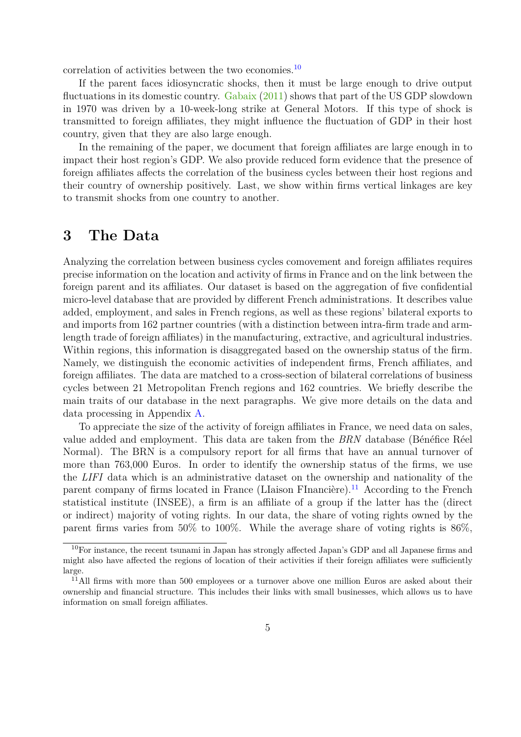correlation of activities between the two economies.<sup>[10](#page-0-0)</sup>

If the parent faces idiosyncratic shocks, then it must be large enough to drive output fluctuations in its domestic country. [Gabaix](#page-20-0) [\(2011\)](#page-20-0) shows that part of the US GDP slowdown in 1970 was driven by a 10-week-long strike at General Motors. If this type of shock is transmitted to foreign affiliates, they might influence the fluctuation of GDP in their host country, given that they are also large enough.

In the remaining of the paper, we document that foreign affiliates are large enough in to impact their host region's GDP. We also provide reduced form evidence that the presence of foreign affiliates affects the correlation of the business cycles between their host regions and their country of ownership positively. Last, we show within firms vertical linkages are key to transmit shocks from one country to another.

### <span id="page-5-0"></span>**3 The Data**

Analyzing the correlation between business cycles comovement and foreign affiliates requires precise information on the location and activity of firms in France and on the link between the foreign parent and its affiliates. Our dataset is based on the aggregation of five confidential micro-level database that are provided by different French administrations. It describes value added, employment, and sales in French regions, as well as these regions' bilateral exports to and imports from 162 partner countries (with a distinction between intra-firm trade and armlength trade of foreign affiliates) in the manufacturing, extractive, and agricultural industries. Within regions, this information is disaggregated based on the ownership status of the firm. Namely, we distinguish the economic activities of independent firms, French affiliates, and foreign affiliates. The data are matched to a cross-section of bilateral correlations of business cycles between 21 Metropolitan French regions and 162 countries. We briefly describe the main traits of our database in the next paragraphs. We give more details on the data and data processing in Appendix [A.](#page-22-0)

To appreciate the size of the activity of foreign affiliates in France, we need data on sales, value added and employment. This data are taken from the *BRN* database (Bénéfice Réel Normal). The BRN is a compulsory report for all firms that have an annual turnover of more than 763,000 Euros. In order to identify the ownership status of the firms, we use the *LIFI* data which is an administrative dataset on the ownership and nationality of the parent company of firms located in France (LIaison FInancière).<sup>[11](#page-0-0)</sup> According to the French statistical institute (INSEE), a firm is an affiliate of a group if the latter has the (direct or indirect) majority of voting rights. In our data, the share of voting rights owned by the parent firms varies from 50% to 100%. While the average share of voting rights is 86%,

<sup>&</sup>lt;sup>10</sup>For instance, the recent tsunami in Japan has strongly affected Japan's GDP and all Japanese firms and might also have affected the regions of location of their activities if their foreign affiliates were sufficiently large.

 $11$ All firms with more than 500 employees or a turnover above one million Euros are asked about their ownership and financial structure. This includes their links with small businesses, which allows us to have information on small foreign affiliates.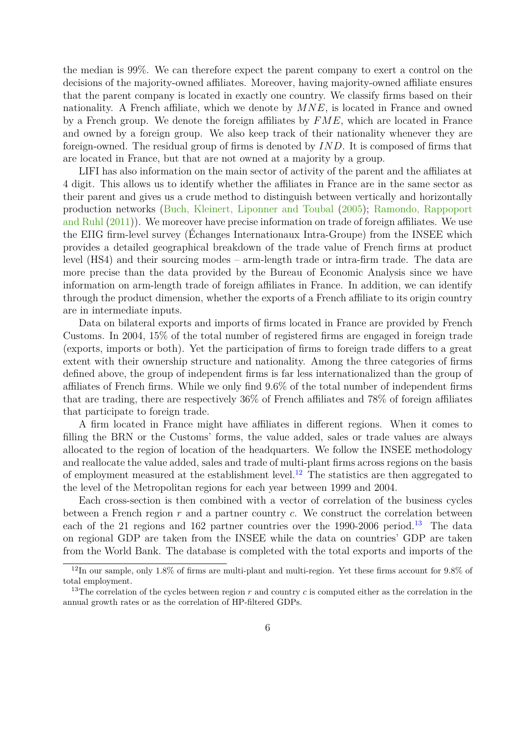the median is 99%. We can therefore expect the parent company to exert a control on the decisions of the majority-owned affiliates. Moreover, having majority-owned affiliate ensures that the parent company is located in exactly one country. We classify firms based on their nationality. A French affiliate, which we denote by *MNE*, is located in France and owned by a French group. We denote the foreign affiliates by *FME*, which are located in France and owned by a foreign group. We also keep track of their nationality whenever they are foreign-owned. The residual group of firms is denoted by *IND*. It is composed of firms that are located in France, but that are not owned at a majority by a group.

LIFI has also information on the main sector of activity of the parent and the affiliates at 4 digit. This allows us to identify whether the affiliates in France are in the same sector as their parent and gives us a crude method to distinguish between vertically and horizontally production networks [\(Buch, Kleinert, Liponner and Toubal](#page-19-11) [\(2005\)](#page-19-11); [Ramondo, Rappoport](#page-21-9) [and Ruhl](#page-21-9) [\(2011\)](#page-21-9)). We moreover have precise information on trade of foreign affiliates. We use the EIIG firm-level survey (Échanges Internationaux Intra-Groupe) from the INSEE which provides a detailed geographical breakdown of the trade value of French firms at product level (HS4) and their sourcing modes – arm-length trade or intra-firm trade. The data are more precise than the data provided by the Bureau of Economic Analysis since we have information on arm-length trade of foreign affiliates in France. In addition, we can identify through the product dimension, whether the exports of a French affiliate to its origin country are in intermediate inputs.

Data on bilateral exports and imports of firms located in France are provided by French Customs. In 2004, 15% of the total number of registered firms are engaged in foreign trade (exports, imports or both). Yet the participation of firms to foreign trade differs to a great extent with their ownership structure and nationality. Among the three categories of firms defined above, the group of independent firms is far less internationalized than the group of affiliates of French firms. While we only find 9.6% of the total number of independent firms that are trading, there are respectively 36% of French affiliates and 78% of foreign affiliates that participate to foreign trade.

A firm located in France might have affiliates in different regions. When it comes to filling the BRN or the Customs' forms, the value added, sales or trade values are always allocated to the region of location of the headquarters. We follow the INSEE methodology and reallocate the value added, sales and trade of multi-plant firms across regions on the basis of employment measured at the establishment level.<sup>[12](#page-0-0)</sup> The statistics are then aggregated to the level of the Metropolitan regions for each year between 1999 and 2004.

Each cross-section is then combined with a vector of correlation of the business cycles between a French region *r* and a partner country *c*. We construct the correlation between each of the 21 regions and 162 partner countries over the 1990-2006 period.<sup>[13](#page-0-0)</sup> The data on regional GDP are taken from the INSEE while the data on countries' GDP are taken from the World Bank. The database is completed with the total exports and imports of the

<sup>12</sup>In our sample, only 1.8% of firms are multi-plant and multi-region. Yet these firms account for 9.8% of total employment.

<sup>&</sup>lt;sup>13</sup>The correlation of the cycles between region *r* and country *c* is computed either as the correlation in the annual growth rates or as the correlation of HP-filtered GDPs.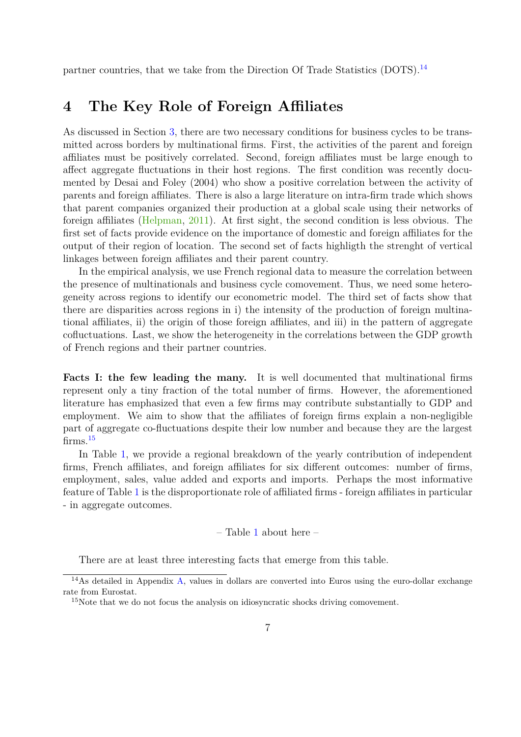partner countries, that we take from the Direction Of Trade Statistics (DOTS).<sup>[14](#page-0-0)</sup>

### <span id="page-7-0"></span>**4 The Key Role of Foreign Affiliates**

As discussed in Section [3,](#page-5-0) there are two necessary conditions for business cycles to be transmitted across borders by multinational firms. First, the activities of the parent and foreign affiliates must be positively correlated. Second, foreign affiliates must be large enough to affect aggregate fluctuations in their host regions. The first condition was recently documented by Desai and Foley (2004) who show a positive correlation between the activity of parents and foreign affiliates. There is also a large literature on intra-firm trade which shows that parent companies organized their production at a global scale using their networks of foreign affiliates [\(Helpman,](#page-20-10) [2011\)](#page-20-10). At first sight, the second condition is less obvious. The first set of facts provide evidence on the importance of domestic and foreign affiliates for the output of their region of location. The second set of facts highligth the strenght of vertical linkages between foreign affiliates and their parent country.

In the empirical analysis, we use French regional data to measure the correlation between the presence of multinationals and business cycle comovement. Thus, we need some heterogeneity across regions to identify our econometric model. The third set of facts show that there are disparities across regions in i) the intensity of the production of foreign multinational affiliates, ii) the origin of those foreign affiliates, and iii) in the pattern of aggregate cofluctuations. Last, we show the heterogeneity in the correlations between the GDP growth of French regions and their partner countries.

**Facts I: the few leading the many.** It is well documented that multinational firms represent only a tiny fraction of the total number of firms. However, the aforementioned literature has emphasized that even a few firms may contribute substantially to GDP and employment. We aim to show that the affiliates of foreign firms explain a non-negligible part of aggregate co-fluctuations despite their low number and because they are the largest firms.<sup>[15](#page-0-0)</sup>

In Table [1,](#page-25-0) we provide a regional breakdown of the yearly contribution of independent firms, French affiliates, and foreign affiliates for six different outcomes: number of firms, employment, sales, value added and exports and imports. Perhaps the most informative feature of Table [1](#page-25-0) is the disproportionate role of affiliated firms - foreign affiliates in particular - in aggregate outcomes.

#### – Table [1](#page-25-0) about here –

There are at least three interesting facts that emerge from this table.

<sup>14</sup>As detailed in Appendix [A,](#page-22-0) values in dollars are converted into Euros using the euro-dollar exchange rate from Eurostat.

<sup>&</sup>lt;sup>15</sup>Note that we do not focus the analysis on idiosyncratic shocks driving comovement.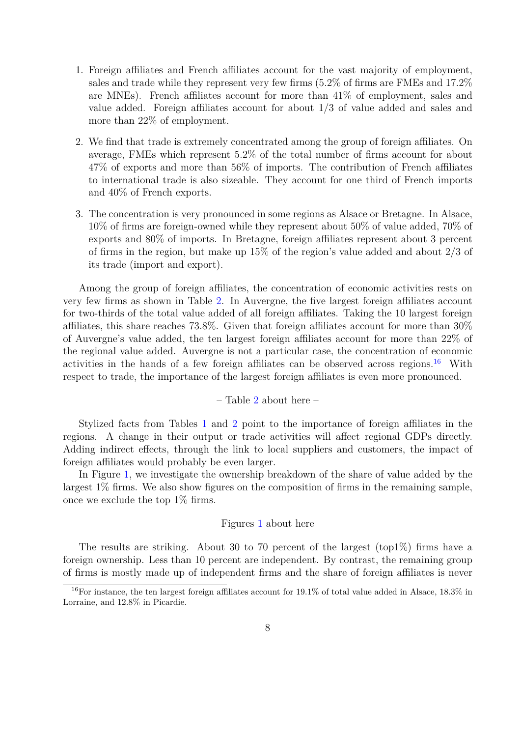- 1. Foreign affiliates and French affiliates account for the vast majority of employment, sales and trade while they represent very few firms (5.2% of firms are FMEs and 17.2% are MNEs). French affiliates account for more than 41% of employment, sales and value added. Foreign affiliates account for about 1/3 of value added and sales and more than 22% of employment.
- 2. We find that trade is extremely concentrated among the group of foreign affiliates. On average, FMEs which represent 5.2% of the total number of firms account for about 47% of exports and more than 56% of imports. The contribution of French affiliates to international trade is also sizeable. They account for one third of French imports and 40% of French exports.
- 3. The concentration is very pronounced in some regions as Alsace or Bretagne. In Alsace, 10% of firms are foreign-owned while they represent about 50% of value added, 70% of exports and 80% of imports. In Bretagne, foreign affiliates represent about 3 percent of firms in the region, but make up 15% of the region's value added and about 2/3 of its trade (import and export).

Among the group of foreign affiliates, the concentration of economic activities rests on very few firms as shown in Table [2.](#page-26-0) In Auvergne, the five largest foreign affiliates account for two-thirds of the total value added of all foreign affiliates. Taking the 10 largest foreign affiliates, this share reaches 73.8%. Given that foreign affiliates account for more than 30% of Auvergne's value added, the ten largest foreign affiliates account for more than 22% of the regional value added. Auvergne is not a particular case, the concentration of economic activities in the hands of a few foreign affiliates can be observed across regions.<sup>[16](#page-0-0)</sup> With respect to trade, the importance of the largest foreign affiliates is even more pronounced.

– Table [2](#page-26-0) about here –

Stylized facts from Tables [1](#page-25-0) and [2](#page-26-0) point to the importance of foreign affiliates in the regions. A change in their output or trade activities will affect regional GDPs directly. Adding indirect effects, through the link to local suppliers and customers, the impact of foreign affiliates would probably be even larger.

In Figure [1,](#page-31-0) we investigate the ownership breakdown of the share of value added by the largest 1% firms. We also show figures on the composition of firms in the remaining sample, once we exclude the top 1% firms.

 $-$  Figures [1](#page-31-0) about here  $-$ 

The results are striking. About 30 to 70 percent of the largest (top1%) firms have a foreign ownership. Less than 10 percent are independent. By contrast, the remaining group of firms is mostly made up of independent firms and the share of foreign affiliates is never

<sup>16</sup>For instance, the ten largest foreign affiliates account for 19.1% of total value added in Alsace, 18.3% in Lorraine, and 12.8% in Picardie.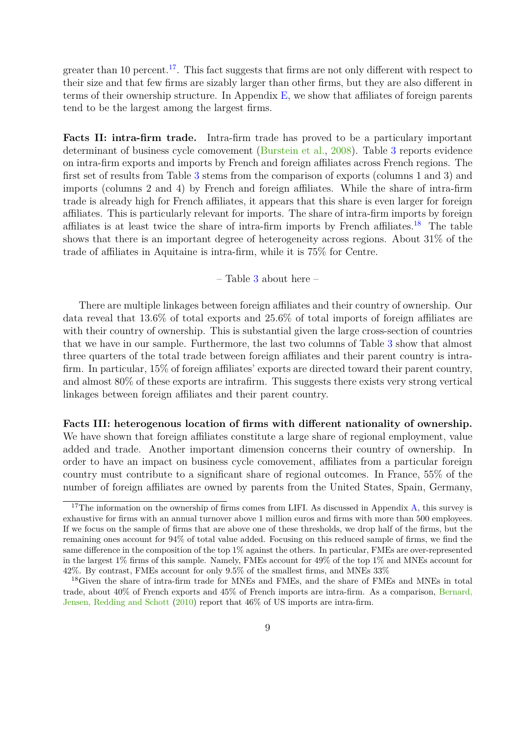greater than 10 percent.<sup>[17](#page-0-0)</sup>. This fact suggests that firms are not only different with respect to their size and that few firms are sizably larger than other firms, but they are also different in terms of their ownership structure. In Appendix  $E$ , we show that affiliates of foreign parents tend to be the largest among the largest firms.

**Facts II: intra-firm trade.** Intra-firm trade has proved to be a particulary important determinant of business cycle comovement [\(Burstein et al.,](#page-19-8) [2008\)](#page-19-8). Table [3](#page-27-0) reports evidence on intra-firm exports and imports by French and foreign affiliates across French regions. The first set of results from Table [3](#page-27-0) stems from the comparison of exports (columns 1 and 3) and imports (columns 2 and 4) by French and foreign affiliates. While the share of intra-firm trade is already high for French affiliates, it appears that this share is even larger for foreign affiliates. This is particularly relevant for imports. The share of intra-firm imports by foreign affiliates is at least twice the share of intra-firm imports by French affiliates.<sup>[18](#page-0-0)</sup> The table shows that there is an important degree of heterogeneity across regions. About 31% of the trade of affiliates in Aquitaine is intra-firm, while it is 75% for Centre.

– Table [3](#page-27-0) about here –

There are multiple linkages between foreign affiliates and their country of ownership. Our data reveal that 13.6% of total exports and 25.6% of total imports of foreign affiliates are with their country of ownership. This is substantial given the large cross-section of countries that we have in our sample. Furthermore, the last two columns of Table [3](#page-27-0) show that almost three quarters of the total trade between foreign affiliates and their parent country is intrafirm. In particular, 15% of foreign affiliates' exports are directed toward their parent country, and almost 80% of these exports are intrafirm. This suggests there exists very strong vertical linkages between foreign affiliates and their parent country.

#### **Facts III: heterogenous location of firms with different nationality of ownership.**

We have shown that foreign affiliates constitute a large share of regional employment, value added and trade. Another important dimension concerns their country of ownership. In order to have an impact on business cycle comovement, affiliates from a particular foreign country must contribute to a significant share of regional outcomes. In France, 55% of the number of foreign affiliates are owned by parents from the United States, Spain, Germany,

 $17$ The information on the ownership of firms comes from LIFI. As discussed in Appendix [A,](#page-22-0) this survey is exhaustive for firms with an annual turnover above 1 million euros and firms with more than 500 employees. If we focus on the sample of firms that are above one of these thresholds, we drop half of the firms, but the remaining ones account for 94% of total value added. Focusing on this reduced sample of firms, we find the same difference in the composition of the top 1% against the others. In particular, FMEs are over-represented in the largest 1% firms of this sample. Namely, FMEs account for 49% of the top 1% and MNEs account for 42%. By contrast, FMEs account for only 9.5% of the smallest firms, and MNEs 33%

<sup>18</sup>Given the share of intra-firm trade for MNEs and FMEs, and the share of FMEs and MNEs in total trade, about 40% of French exports and 45% of French imports are intra-firm. As a comparison, [Bernard,](#page-19-12) [Jensen, Redding and Schott](#page-19-12) [\(2010\)](#page-19-12) report that 46% of US imports are intra-firm.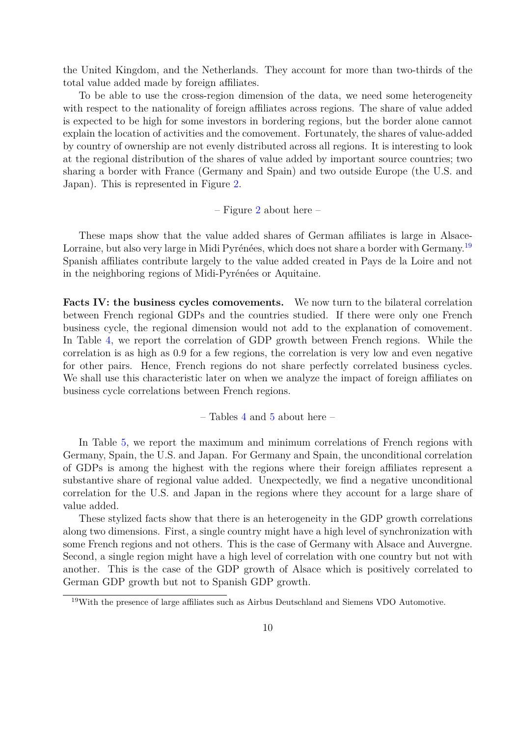the United Kingdom, and the Netherlands. They account for more than two-thirds of the total value added made by foreign affiliates.

To be able to use the cross-region dimension of the data, we need some heterogeneity with respect to the nationality of foreign affiliates across regions. The share of value added is expected to be high for some investors in bordering regions, but the border alone cannot explain the location of activities and the comovement. Fortunately, the shares of value-added by country of ownership are not evenly distributed across all regions. It is interesting to look at the regional distribution of the shares of value added by important source countries; two sharing a border with France (Germany and Spain) and two outside Europe (the U.S. and Japan). This is represented in Figure [2.](#page-32-0)

– Figure [2](#page-32-0) about here –

These maps show that the value added shares of German affiliates is large in Alsace-Lorraine, but also very large in Midi Pyrénées, which does not share a border with Germany.<sup>[19](#page-0-0)</sup> Spanish affiliates contribute largely to the value added created in Pays de la Loire and not in the neighboring regions of Midi-Pyrénées or Aquitaine.

**Facts IV: the business cycles comovements.** We now turn to the bilateral correlation between French regional GDPs and the countries studied. If there were only one French business cycle, the regional dimension would not add to the explanation of comovement. In Table [4,](#page-28-0) we report the correlation of GDP growth between French regions. While the correlation is as high as 0.9 for a few regions, the correlation is very low and even negative for other pairs. Hence, French regions do not share perfectly correlated business cycles. We shall use this characteristic later on when we analyze the impact of foreign affiliates on business cycle correlations between French regions.

– Tables [4](#page-28-0) and [5](#page-29-0) about here –

In Table [5,](#page-29-0) we report the maximum and minimum correlations of French regions with Germany, Spain, the U.S. and Japan. For Germany and Spain, the unconditional correlation of GDPs is among the highest with the regions where their foreign affiliates represent a substantive share of regional value added. Unexpectedly, we find a negative unconditional correlation for the U.S. and Japan in the regions where they account for a large share of value added.

These stylized facts show that there is an heterogeneity in the GDP growth correlations along two dimensions. First, a single country might have a high level of synchronization with some French regions and not others. This is the case of Germany with Alsace and Auvergne. Second, a single region might have a high level of correlation with one country but not with another. This is the case of the GDP growth of Alsace which is positively correlated to German GDP growth but not to Spanish GDP growth.

<sup>19</sup>With the presence of large affiliates such as Airbus Deutschland and Siemens VDO Automotive.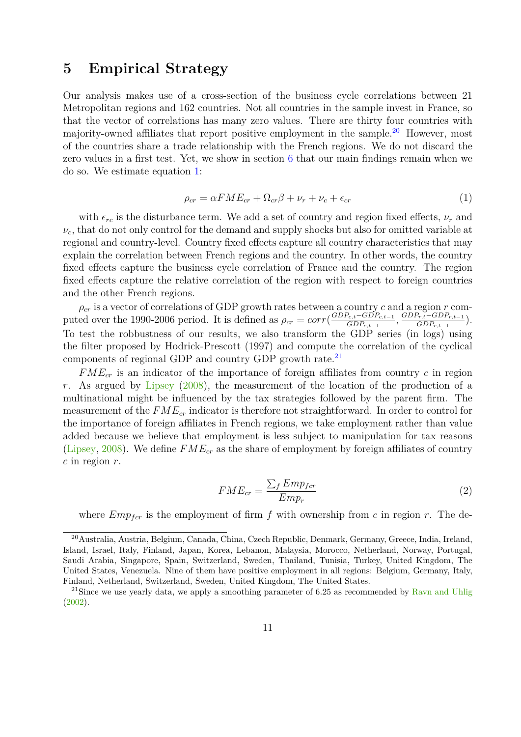### <span id="page-11-0"></span>**5 Empirical Strategy**

Our analysis makes use of a cross-section of the business cycle correlations between 21 Metropolitan regions and 162 countries. Not all countries in the sample invest in France, so that the vector of correlations has many zero values. There are thirty four countries with majority-owned affiliates that report positive employment in the sample.<sup>[20](#page-0-0)</sup> However, most of the countries share a trade relationship with the French regions. We do not discard the zero values in a first test. Yet, we show in section [6](#page-14-0) that our main findings remain when we do so. We estimate equation [1:](#page-11-1)

$$
\rho_{cr} = \alpha F M E_{cr} + \Omega_{cr} \beta + \nu_r + \nu_c + \epsilon_{cr} \tag{1}
$$

<span id="page-11-1"></span>with  $\epsilon_{rc}$  is the disturbance term. We add a set of country and region fixed effects,  $\nu_r$  and  $\nu_c$ , that do not only control for the demand and supply shocks but also for omitted variable at regional and country-level. Country fixed effects capture all country characteristics that may explain the correlation between French regions and the country. In other words, the country fixed effects capture the business cycle correlation of France and the country. The region fixed effects capture the relative correlation of the region with respect to foreign countries and the other French regions.

*ρcr* is a vector of correlations of GDP growth rates between a country *c* and a region *r* computed over the 1990-2006 period. It is defined as  $\rho_{cr} = corr(\frac{GDP_{c,t}-GDP_{c,t-1}}{GDP_{c,t-1}})$  $\frac{G_{c,t}-GDP_{c,t-1}}{GDP_{c,t-1}}, \frac{GDP_{r,t}-GDP_{r,t-1}}{GDP_{r,t-1}}$  $\left(\frac{GDP_{r,t-1}}{GDP_{r,t-1}}\right).$ To test the robbustness of our results, we also transform the GDP series (in logs) using the filter proposed by Hodrick-Prescott (1997) and compute the correlation of the cyclical components of regional GDP and country GDP growth rate. $^{21}$  $^{21}$  $^{21}$ 

*FMEcr* is an indicator of the importance of foreign affiliates from country *c* in region *r*. As argued by [Lipsey](#page-20-11) [\(2008\)](#page-20-11), the measurement of the location of the production of a multinational might be influenced by the tax strategies followed by the parent firm. The measurement of the *FMEcr* indicator is therefore not straightforward. In order to control for the importance of foreign affiliates in French regions, we take employment rather than value added because we believe that employment is less subject to manipulation for tax reasons [\(Lipsey,](#page-20-11) [2008\)](#page-20-11). We define *FMEcr* as the share of employment by foreign affiliates of country *c* in region *r*.

$$
FME_{cr} = \frac{\sum_{f} Emp_{fer}}{Emp_r} \tag{2}
$$

where  $Emp<sub>for</sub>$  is the employment of firm f with ownership from c in region r. The de-

<sup>20</sup>Australia, Austria, Belgium, Canada, China, Czech Republic, Denmark, Germany, Greece, India, Ireland, Island, Israel, Italy, Finland, Japan, Korea, Lebanon, Malaysia, Morocco, Netherland, Norway, Portugal, Saudi Arabia, Singapore, Spain, Switzerland, Sweden, Thailand, Tunisia, Turkey, United Kingdom, The United States, Venezuela. Nine of them have positive employment in all regions: Belgium, Germany, Italy, Finland, Netherland, Switzerland, Sweden, United Kingdom, The United States.

<sup>&</sup>lt;sup>21</sup>Since we use yearly data, we apply a smoothing parameter of 6.25 as recommended by [Ravn and Uhlig](#page-21-10) [\(2002\)](#page-21-10).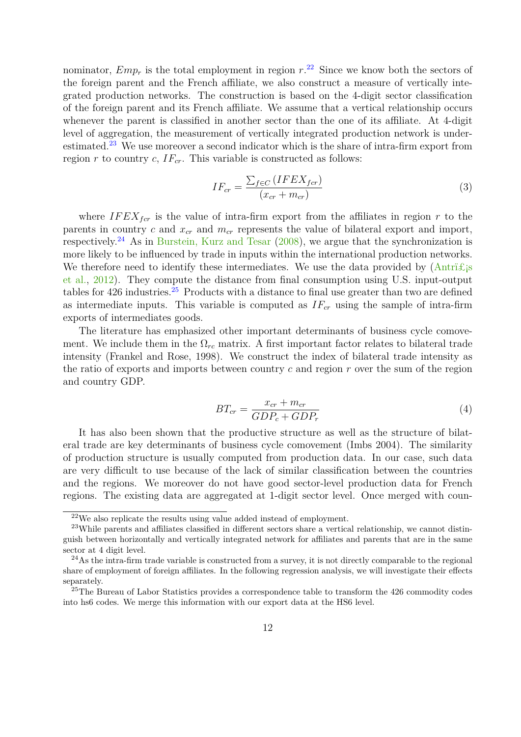nominator,  $Emp_r$  is the total employment in region  $r^{22}$  $r^{22}$  $r^{22}$ . Since we know both the sectors of the foreign parent and the French affiliate, we also construct a measure of vertically integrated production networks. The construction is based on the 4-digit sector classification of the foreign parent and its French affiliate. We assume that a vertical relationship occurs whenever the parent is classified in another sector than the one of its affiliate. At 4-digit level of aggregation, the measurement of vertically integrated production network is under-estimated.<sup>[23](#page-0-0)</sup> We use moreover a second indicator which is the share of intra-firm export from region *r* to country *c*,  $IF_{cr}$ . This variable is constructed as follows:

$$
IF_{cr} = \frac{\sum_{f \in C} (IFEX_{for})}{(x_{cr} + m_{cr})}
$$
\n(3)

where  $IFEX<sub>for</sub>$  is the value of intra-firm export from the affiliates in region r to the parents in country *c* and  $x_{cr}$  and  $m_{cr}$  represents the value of bilateral export and import, respectively.<sup>[24](#page-0-0)</sup> As in [Burstein, Kurz and Tesar](#page-19-8)  $(2008)$ , we argue that the synchronization is more likely to be influenced by trade in inputs within the international production networks. We therefore need to identify these intermediates. We use the data provided by  $(Antri \mathcal{E}_i)$ [et al.,](#page-19-13) [2012\)](#page-19-13). They compute the distance from final consumption using U.S. input-output tables for  $426$  industries.<sup>[25](#page-0-0)</sup> Products with a distance to final use greater than two are defined as intermediate inputs. This variable is computed as *IFcr* using the sample of intra-firm exports of intermediates goods.

The literature has emphasized other important determinants of business cycle comovement. We include them in the  $\Omega_{rc}$  matrix. A first important factor relates to bilateral trade intensity (Frankel and Rose, 1998). We construct the index of bilateral trade intensity as the ratio of exports and imports between country *c* and region *r* over the sum of the region and country GDP.

$$
BT_{cr} = \frac{x_{cr} + m_{cr}}{GDP_c + GDP_r} \tag{4}
$$

It has also been shown that the productive structure as well as the structure of bilateral trade are key determinants of business cycle comovement (Imbs 2004). The similarity of production structure is usually computed from production data. In our case, such data are very difficult to use because of the lack of similar classification between the countries and the regions. We moreover do not have good sector-level production data for French regions. The existing data are aggregated at 1-digit sector level. Once merged with coun-

 $22$ We also replicate the results using value added instead of employment.

<sup>&</sup>lt;sup>23</sup>While parents and affiliates classified in different sectors share a vertical relationship, we cannot distinguish between horizontally and vertically integrated network for affiliates and parents that are in the same sector at 4 digit level.

 $^{24}$ As the intra-firm trade variable is constructed from a survey, it is not directly comparable to the regional share of employment of foreign affiliates. In the following regression analysis, we will investigate their effects separately.

<sup>&</sup>lt;sup>25</sup>The Bureau of Labor Statistics provides a correspondence table to transform the 426 commodity codes into hs6 codes. We merge this information with our export data at the HS6 level.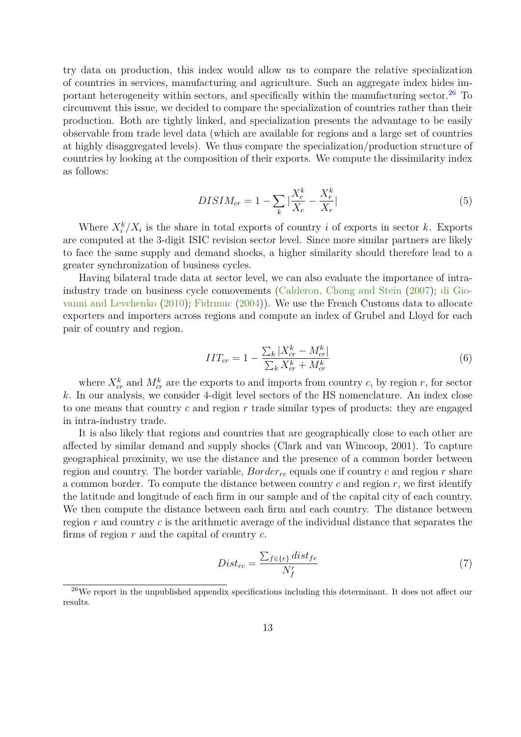try data on production, this index would allow us to compare the relative specialization of countries in services, manufacturing and agriculture. Such an aggregate index hides important heterogeneity within sectors, and specifically within the manufacturing sector. $26$  To circumvent this issue, we decided to compare the specialization of countries rather than their production. Both are tightly linked, and specialization presents the advantage to be easily observable from trade level data (which are available for regions and a large set of countries at highly disaggregated levels). We thus compare the specialization/production structure of countries by looking at the composition of their exports. We compute the dissimilarity index as follows:

$$
DISIM_{cr} = 1 - \sum_{k} |\frac{X_c^k}{X_c} - \frac{X_r^k}{X_r}|
$$
\n(5)

Where  $X_i^k/X_i$  is the share in total exports of country *i* of exports in sector *k*. Exports are computed at the 3-digit ISIC revision sector level. Since more similar partners are likely to face the same supply and demand shocks, a higher similarity should therefore lead to a greater synchronization of business cycles.

Having bilateral trade data at sector level, we can also evaluate the importance of intraindustry trade on business cycle comovements [\(Calderon, Chong and Stein](#page-19-7) [\(2007\)](#page-19-7); [di Gio](#page-19-9)[vanni and Levchenko](#page-19-9) [\(2010\)](#page-19-9); [Fidrmuc](#page-20-12) [\(2004\)](#page-20-12)). We use the French Customs data to allocate exporters and importers across regions and compute an index of Grubel and Lloyd for each pair of country and region.

$$
IIT_{cr} = 1 - \frac{\sum_{k} |X_{cr}^{k} - M_{cr}^{k}|}{\sum_{k} X_{cr}^{k} + M_{cr}^{k}} \tag{6}
$$

where  $X_{cr}^k$  and  $M_{cr}^k$  are the exports to and imports from country *c*, by region *r*, for sector *k*. In our analysis, we consider 4-digit level sectors of the HS nomenclature. An index close to one means that country *c* and region *r* trade similar types of products: they are engaged in intra-industry trade.

It is also likely that regions and countries that are geographically close to each other are affected by similar demand and supply shocks (Clark and van Wincoop, 2001). To capture geographical proximity, we use the distance and the presence of a common border between region and country. The border variable, *Borderrc* equals one if country *c* and region *r* share a common border. To compute the distance between country *c* and region *r*, we first identify the latitude and longitude of each firm in our sample and of the capital city of each country. We then compute the distance between each firm and each country. The distance between region *r* and country *c* is the arithmetic average of the individual distance that separates the firms of region *r* and the capital of country *c*.

$$
Dist_{rc} = \frac{\sum_{f \in \{r\}} dist_{fc}}{N_f^r} \tag{7}
$$

 $26$ We report in the unpublished appendix specifications including this determinant. It does not affect our results.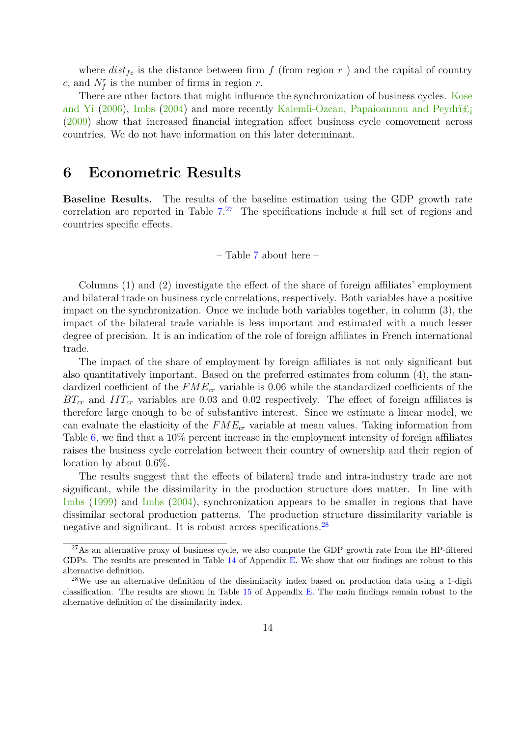where  $dist_{fc}$  is the distance between firm  $f$  (from region  $r$  ) and the capital of country  $c$ , and  $N_f^r$  is the number of firms in region  $r$ .

There are other factors that might influence the synchronization of business cycles. [Kose](#page-20-6) [and Yi](#page-20-6) [\(2006\)](#page-20-6), [Imbs](#page-20-5) [\(2004\)](#page-20-5) and more recently Kalemli-Ozcan, Papaioannou and Peydri $\pounds$ [\(2009\)](#page-20-13) show that increased financial integration affect business cycle comovement across countries. We do not have information on this later determinant.

### <span id="page-14-0"></span>**6 Econometric Results**

**Baseline Results.** The results of the baseline estimation using the GDP growth rate correlation are reported in Table  $7<sup>27</sup>$  $7<sup>27</sup>$  $7<sup>27</sup>$  The specifications include a full set of regions and countries specific effects.

– Table [7](#page-33-0) about here –

Columns (1) and (2) investigate the effect of the share of foreign affiliates' employment and bilateral trade on business cycle correlations, respectively. Both variables have a positive impact on the synchronization. Once we include both variables together, in column (3), the impact of the bilateral trade variable is less important and estimated with a much lesser degree of precision. It is an indication of the role of foreign affiliates in French international trade.

The impact of the share of employment by foreign affiliates is not only significant but also quantitatively important. Based on the preferred estimates from column (4), the standardized coefficient of the  $FME_{cr}$  variable is 0.06 while the standardized coefficients of the  $BT_{cr}$  and  $IT_{cr}$  variables are 0.03 and 0.02 respectively. The effect of foreign affiliates is therefore large enough to be of substantive interest. Since we estimate a linear model, we can evaluate the elasticity of the *FMEcr* variable at mean values. Taking information from Table [6,](#page-30-0) we find that a 10% percent increase in the employment intensity of foreign affiliates raises the business cycle correlation between their country of ownership and their region of location by about 0.6%.

The results suggest that the effects of bilateral trade and intra-industry trade are not significant, while the dissimilarity in the production structure does matter. In line with [Imbs](#page-20-14) [\(1999\)](#page-20-14) and [Imbs](#page-20-5) [\(2004\)](#page-20-5), synchronization appears to be smaller in regions that have dissimilar sectoral production patterns. The production structure dissimilarity variable is negative and significant. It is robust across specifications.<sup>[28](#page-0-0)</sup>

<sup>&</sup>lt;sup>27</sup>As an alternative proxy of business cycle, we also compute the GDP growth rate from the HP-filtered GDPs. The results are presented in Table [14](#page-41-0) of Appendix [E.](#page-40-0) We show that our findings are robust to this alternative definition.

<sup>28</sup>We use an alternative definition of the dissimilarity index based on production data using a 1-digit classification. The results are shown in Table [15](#page-42-0) of Appendix [E.](#page-40-0) The main findings remain robust to the alternative definition of the dissimilarity index.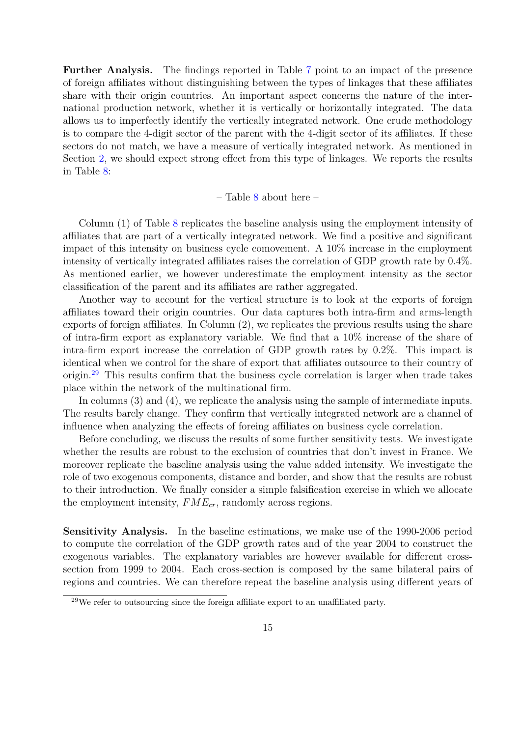**Further Analysis.** The findings reported in Table [7](#page-33-0) point to an impact of the presence of foreign affiliates without distinguishing between the types of linkages that these affiliates share with their origin countries. An important aspect concerns the nature of the international production network, whether it is vertically or horizontally integrated. The data allows us to imperfectly identify the vertically integrated network. One crude methodology is to compare the 4-digit sector of the parent with the 4-digit sector of its affiliates. If these sectors do not match, we have a measure of vertically integrated network. As mentioned in Section [2,](#page-3-0) we should expect strong effect from this type of linkages. We reports the results in Table [8:](#page-34-0)

#### $-$  Table [8](#page-34-0) about here  $-$

Column (1) of Table [8](#page-34-0) replicates the baseline analysis using the employment intensity of affiliates that are part of a vertically integrated network. We find a positive and significant impact of this intensity on business cycle comovement. A 10% increase in the employment intensity of vertically integrated affiliates raises the correlation of GDP growth rate by 0.4%. As mentioned earlier, we however underestimate the employment intensity as the sector classification of the parent and its affiliates are rather aggregated.

Another way to account for the vertical structure is to look at the exports of foreign affiliates toward their origin countries. Our data captures both intra-firm and arms-length exports of foreign affiliates. In Column (2), we replicates the previous results using the share of intra-firm export as explanatory variable. We find that a 10% increase of the share of intra-firm export increase the correlation of GDP growth rates by 0.2%. This impact is identical when we control for the share of export that affiliates outsource to their country of origin.[29](#page-0-0) This results confirm that the business cycle correlation is larger when trade takes place within the network of the multinational firm.

In columns (3) and (4), we replicate the analysis using the sample of intermediate inputs. The results barely change. They confirm that vertically integrated network are a channel of influence when analyzing the effects of foreing affiliates on business cycle correlation.

Before concluding, we discuss the results of some further sensitivity tests. We investigate whether the results are robust to the exclusion of countries that don't invest in France. We moreover replicate the baseline analysis using the value added intensity. We investigate the role of two exogenous components, distance and border, and show that the results are robust to their introduction. We finally consider a simple falsification exercise in which we allocate the employment intensity, *FMEcr*, randomly across regions.

**Sensitivity Analysis.** In the baseline estimations, we make use of the 1990-2006 period to compute the correlation of the GDP growth rates and of the year 2004 to construct the exogenous variables. The explanatory variables are however available for different crosssection from 1999 to 2004. Each cross-section is composed by the same bilateral pairs of regions and countries. We can therefore repeat the baseline analysis using different years of

 $29$ We refer to outsourcing since the foreign affiliate export to an unaffiliated party.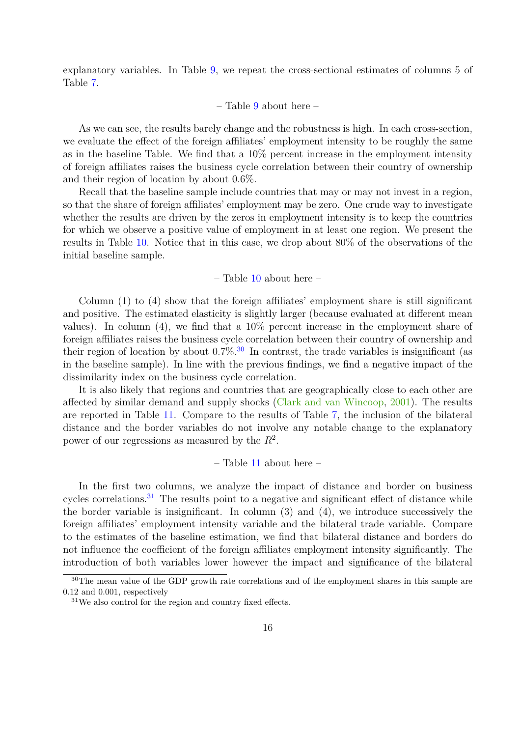explanatory variables. In Table [9,](#page-35-0) we repeat the cross-sectional estimates of columns 5 of Table [7.](#page-33-0)

#### – Table [9](#page-35-0) about here –

As we can see, the results barely change and the robustness is high. In each cross-section, we evaluate the effect of the foreign affiliates' employment intensity to be roughly the same as in the baseline Table. We find that a 10% percent increase in the employment intensity of foreign affiliates raises the business cycle correlation between their country of ownership and their region of location by about 0.6%.

Recall that the baseline sample include countries that may or may not invest in a region, so that the share of foreign affiliates' employment may be zero. One crude way to investigate whether the results are driven by the zeros in employment intensity is to keep the countries for which we observe a positive value of employment in at least one region. We present the results in Table [10.](#page-36-0) Notice that in this case, we drop about 80% of the observations of the initial baseline sample.

– Table [10](#page-36-0) about here –

Column (1) to (4) show that the foreign affiliates' employment share is still significant and positive. The estimated elasticity is slightly larger (because evaluated at different mean values). In column (4), we find that a 10% percent increase in the employment share of foreign affiliates raises the business cycle correlation between their country of ownership and their region of location by about  $0.7\%$ .<sup>[30](#page-0-0)</sup> In contrast, the trade variables is insignificant (as in the baseline sample). In line with the previous findings, we find a negative impact of the dissimilarity index on the business cycle correlation.

It is also likely that regions and countries that are geographically close to each other are affected by similar demand and supply shocks [\(Clark and van Wincoop,](#page-19-4) [2001\)](#page-19-4). The results are reported in Table [11.](#page-37-0) Compare to the results of Table [7,](#page-33-0) the inclusion of the bilateral distance and the border variables do not involve any notable change to the explanatory power of our regressions as measured by the *R*<sup>2</sup> .

– Table [11](#page-37-0) about here –

In the first two columns, we analyze the impact of distance and border on business cycles correlations.<sup>[31](#page-0-0)</sup> The results point to a negative and significant effect of distance while the border variable is insignificant. In column (3) and (4), we introduce successively the foreign affiliates' employment intensity variable and the bilateral trade variable. Compare to the estimates of the baseline estimation, we find that bilateral distance and borders do not influence the coefficient of the foreign affiliates employment intensity significantly. The introduction of both variables lower however the impact and significance of the bilateral

<sup>&</sup>lt;sup>30</sup>The mean value of the GDP growth rate correlations and of the employment shares in this sample are 0.12 and 0.001, respectively

<sup>31</sup>We also control for the region and country fixed effects.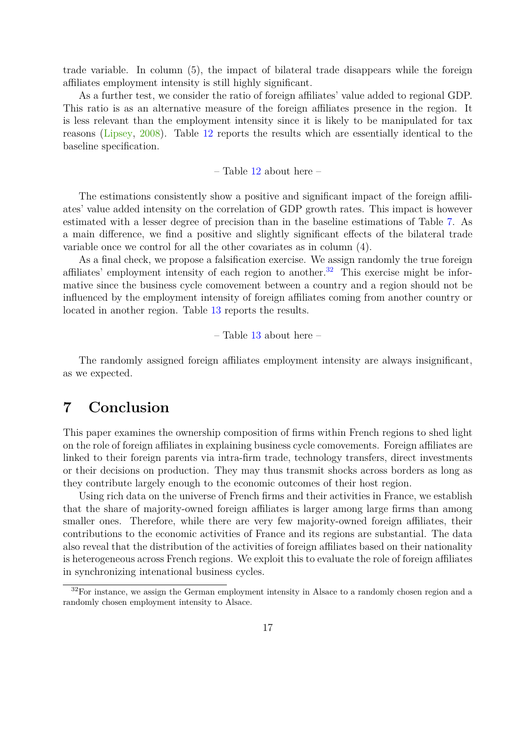trade variable. In column (5), the impact of bilateral trade disappears while the foreign affiliates employment intensity is still highly significant.

As a further test, we consider the ratio of foreign affiliates' value added to regional GDP. This ratio is as an alternative measure of the foreign affiliates presence in the region. It is less relevant than the employment intensity since it is likely to be manipulated for tax reasons [\(Lipsey,](#page-20-11) [2008\)](#page-20-11). Table [12](#page-38-0) reports the results which are essentially identical to the baseline specification.

– Table  $12$  about here –

The estimations consistently show a positive and significant impact of the foreign affiliates' value added intensity on the correlation of GDP growth rates. This impact is however estimated with a lesser degree of precision than in the baseline estimations of Table [7.](#page-33-0) As a main difference, we find a positive and slightly significant effects of the bilateral trade variable once we control for all the other covariates as in column (4).

As a final check, we propose a falsification exercise. We assign randomly the true foreign affiliates' employment intensity of each region to another.<sup>[32](#page-0-0)</sup> This exercise might be informative since the business cycle comovement between a country and a region should not be influenced by the employment intensity of foreign affiliates coming from another country or located in another region. Table [13](#page-39-0) reports the results.

– Table [13](#page-39-0) about here –

The randomly assigned foreign affiliates employment intensity are always insignificant, as we expected.

## <span id="page-17-0"></span>**7 Conclusion**

This paper examines the ownership composition of firms within French regions to shed light on the role of foreign affiliates in explaining business cycle comovements. Foreign affiliates are linked to their foreign parents via intra-firm trade, technology transfers, direct investments or their decisions on production. They may thus transmit shocks across borders as long as they contribute largely enough to the economic outcomes of their host region.

Using rich data on the universe of French firms and their activities in France, we establish that the share of majority-owned foreign affiliates is larger among large firms than among smaller ones. Therefore, while there are very few majority-owned foreign affiliates, their contributions to the economic activities of France and its regions are substantial. The data also reveal that the distribution of the activities of foreign affiliates based on their nationality is heterogeneous across French regions. We exploit this to evaluate the role of foreign affiliates in synchronizing intenational business cycles.

 $32$ For instance, we assign the German employment intensity in Alsace to a randomly chosen region and a randomly chosen employment intensity to Alsace.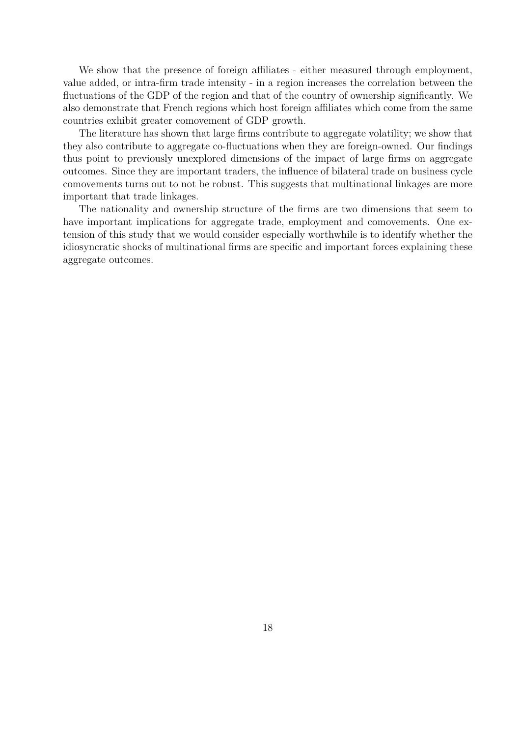We show that the presence of foreign affiliates - either measured through employment, value added, or intra-firm trade intensity - in a region increases the correlation between the fluctuations of the GDP of the region and that of the country of ownership significantly. We also demonstrate that French regions which host foreign affiliates which come from the same countries exhibit greater comovement of GDP growth.

The literature has shown that large firms contribute to aggregate volatility; we show that they also contribute to aggregate co-fluctuations when they are foreign-owned. Our findings thus point to previously unexplored dimensions of the impact of large firms on aggregate outcomes. Since they are important traders, the influence of bilateral trade on business cycle comovements turns out to not be robust. This suggests that multinational linkages are more important that trade linkages.

The nationality and ownership structure of the firms are two dimensions that seem to have important implications for aggregate trade, employment and comovements. One extension of this study that we would consider especially worthwhile is to identify whether the idiosyncratic shocks of multinational firms are specific and important forces explaining these aggregate outcomes.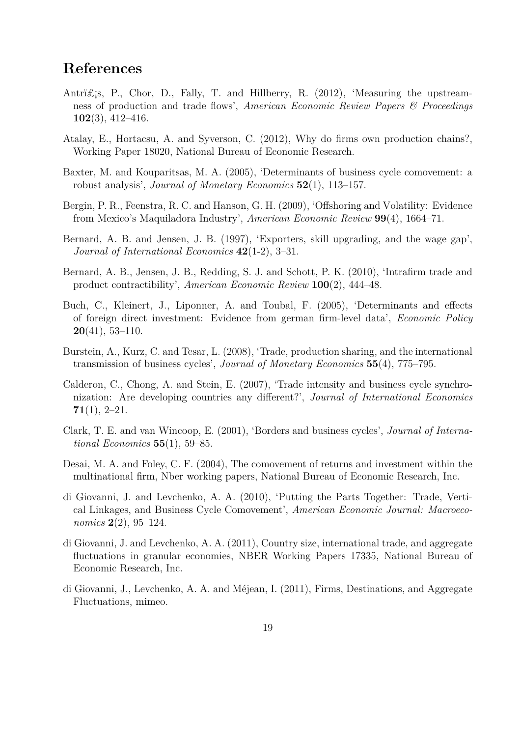## **References**

- <span id="page-19-13"></span>Antri $\pounds$ <sub>i</sub>s, P., Chor, D., Fally, T. and Hillberry, R. (2012), 'Measuring the upstreamness of production and trade flows', *American Economic Review Papers & Proceedings* **102**(3), 412–416.
- <span id="page-19-10"></span>Atalay, E., Hortacsu, A. and Syverson, C. (2012), Why do firms own production chains?, Working Paper 18020, National Bureau of Economic Research.
- <span id="page-19-6"></span>Baxter, M. and Kouparitsas, M. A. (2005), 'Determinants of business cycle comovement: a robust analysis', *Journal of Monetary Economics* **52**(1), 113–157.
- <span id="page-19-5"></span>Bergin, P. R., Feenstra, R. C. and Hanson, G. H. (2009), 'Offshoring and Volatility: Evidence from Mexico's Maquiladora Industry', *American Economic Review* **99**(4), 1664–71.
- <span id="page-19-3"></span>Bernard, A. B. and Jensen, J. B. (1997), 'Exporters, skill upgrading, and the wage gap', *Journal of International Economics* **42**(1-2), 3–31.
- <span id="page-19-12"></span>Bernard, A. B., Jensen, J. B., Redding, S. J. and Schott, P. K. (2010), 'Intrafirm trade and product contractibility', *American Economic Review* **100**(2), 444–48.
- <span id="page-19-11"></span>Buch, C., Kleinert, J., Liponner, A. and Toubal, F. (2005), 'Determinants and effects of foreign direct investment: Evidence from german firm-level data', *Economic Policy* **20**(41), 53–110.
- <span id="page-19-8"></span>Burstein, A., Kurz, C. and Tesar, L. (2008), 'Trade, production sharing, and the international transmission of business cycles', *Journal of Monetary Economics* **55**(4), 775–795.
- <span id="page-19-7"></span>Calderon, C., Chong, A. and Stein, E. (2007), 'Trade intensity and business cycle synchronization: Are developing countries any different?', *Journal of International Economics* **71**(1), 2–21.
- <span id="page-19-4"></span>Clark, T. E. and van Wincoop, E. (2001), 'Borders and business cycles', *Journal of International Economics* **55**(1), 59–85.
- <span id="page-19-2"></span>Desai, M. A. and Foley, C. F. (2004), The comovement of returns and investment within the multinational firm, Nber working papers, National Bureau of Economic Research, Inc.
- <span id="page-19-9"></span>di Giovanni, J. and Levchenko, A. A. (2010), 'Putting the Parts Together: Trade, Vertical Linkages, and Business Cycle Comovement', *American Economic Journal: Macroeconomics* **2**(2), 95–124.
- <span id="page-19-0"></span>di Giovanni, J. and Levchenko, A. A. (2011), Country size, international trade, and aggregate fluctuations in granular economies, NBER Working Papers 17335, National Bureau of Economic Research, Inc.
- <span id="page-19-1"></span>di Giovanni, J., Levchenko, A. A. and Méjean, I. (2011), Firms, Destinations, and Aggregate Fluctuations, mimeo.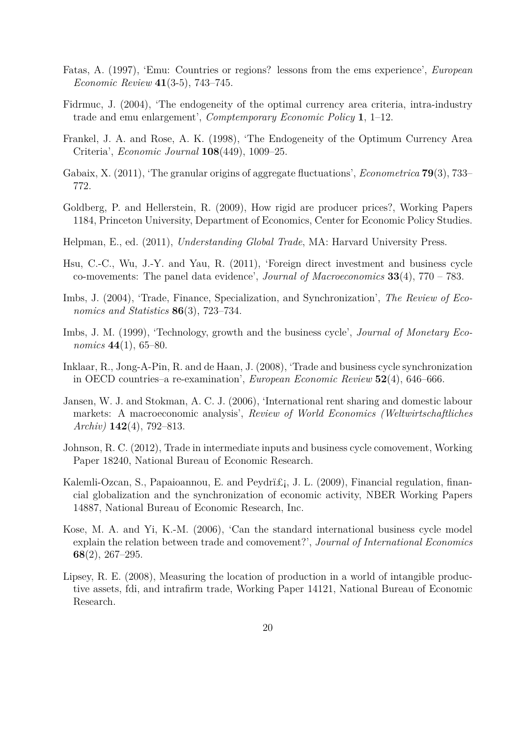- <span id="page-20-9"></span>Fatas, A. (1997), 'Emu: Countries or regions? lessons from the ems experience', *European Economic Review* **41**(3-5), 743–745.
- <span id="page-20-12"></span>Fidrmuc, J. (2004), 'The endogeneity of the optimal currency area criteria, intra-industry trade and emu enlargement', *Comptemporary Economic Policy* **1**, 1–12.
- <span id="page-20-4"></span>Frankel, J. A. and Rose, A. K. (1998), 'The Endogeneity of the Optimum Currency Area Criteria', *Economic Journal* **108**(449), 1009–25.
- <span id="page-20-0"></span>Gabaix, X. (2011), 'The granular origins of aggregate fluctuations', *Econometrica* **79**(3), 733– 772.
- <span id="page-20-1"></span>Goldberg, P. and Hellerstein, R. (2009), How rigid are producer prices?, Working Papers 1184, Princeton University, Department of Economics, Center for Economic Policy Studies.
- <span id="page-20-10"></span>Helpman, E., ed. (2011), *Understanding Global Trade*, MA: Harvard University Press.
- <span id="page-20-3"></span>Hsu, C.-C., Wu, J.-Y. and Yau, R. (2011), 'Foreign direct investment and business cycle co-movements: The panel data evidence', *Journal of Macroeconomics* **33**(4), 770 – 783.
- <span id="page-20-5"></span>Imbs, J. (2004), 'Trade, Finance, Specialization, and Synchronization', *The Review of Economics and Statistics* **86**(3), 723–734.
- <span id="page-20-14"></span>Imbs, J. M. (1999), 'Technology, growth and the business cycle', *Journal of Monetary Economics* **44**(1), 65–80.
- <span id="page-20-7"></span>Inklaar, R., Jong-A-Pin, R. and de Haan, J. (2008), 'Trade and business cycle synchronization in OECD countries–a re-examination', *European Economic Review* **52**(4), 646–666.
- <span id="page-20-2"></span>Jansen, W. J. and Stokman, A. C. J. (2006), 'International rent sharing and domestic labour markets: A macroeconomic analysis', *Review of World Economics (Weltwirtschaftliches Archiv)* **142**(4), 792–813.
- <span id="page-20-8"></span>Johnson, R. C. (2012), Trade in intermediate inputs and business cycle comovement, Working Paper 18240, National Bureau of Economic Research.
- <span id="page-20-13"></span>Kalemli-Ozcan, S., Papaioannou, E. and Peydri£; J. L. (2009), Financial regulation, financial globalization and the synchronization of economic activity, NBER Working Papers 14887, National Bureau of Economic Research, Inc.
- <span id="page-20-6"></span>Kose, M. A. and Yi, K.-M. (2006), 'Can the standard international business cycle model explain the relation between trade and comovement?', *Journal of International Economics* **68**(2), 267–295.
- <span id="page-20-11"></span>Lipsey, R. E. (2008), Measuring the location of production in a world of intangible productive assets, fdi, and intrafirm trade, Working Paper 14121, National Bureau of Economic Research.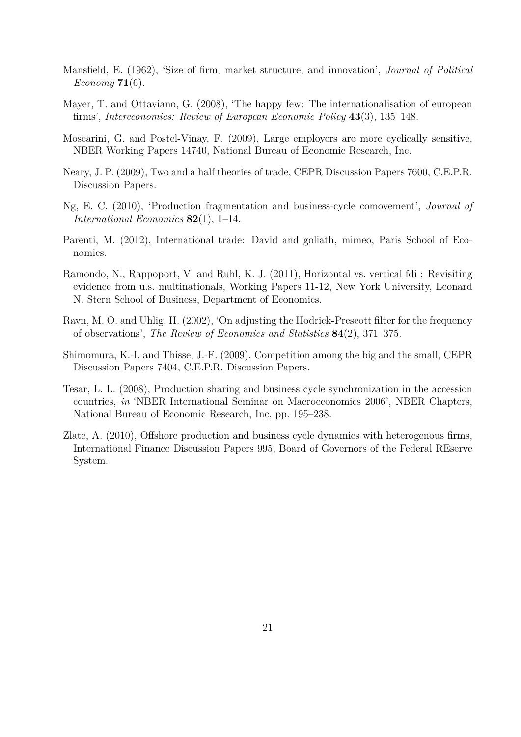- <span id="page-21-1"></span>Mansfield, E. (1962), 'Size of firm, market structure, and innovation', *Journal of Political Economy* **71**(6).
- <span id="page-21-2"></span>Mayer, T. and Ottaviano, G. (2008), 'The happy few: The internationalisation of european firms', *Intereconomics: Review of European Economic Policy* **43**(3), 135–148.
- <span id="page-21-0"></span>Moscarini, G. and Postel-Vinay, F. (2009), Large employers are more cyclically sensitive, NBER Working Papers 14740, National Bureau of Economic Research, Inc.
- <span id="page-21-5"></span>Neary, J. P. (2009), Two and a half theories of trade, CEPR Discussion Papers 7600, C.E.P.R. Discussion Papers.
- <span id="page-21-7"></span>Ng, E. C. (2010), 'Production fragmentation and business-cycle comovement', *Journal of International Economics* **82**(1), 1–14.
- <span id="page-21-4"></span>Parenti, M. (2012), International trade: David and goliath, mimeo, Paris School of Economics.
- <span id="page-21-9"></span>Ramondo, N., Rappoport, V. and Ruhl, K. J. (2011), Horizontal vs. vertical fdi : Revisiting evidence from u.s. multinationals, Working Papers 11-12, New York University, Leonard N. Stern School of Business, Department of Economics.
- <span id="page-21-10"></span>Ravn, M. O. and Uhlig, H. (2002), 'On adjusting the Hodrick-Prescott filter for the frequency of observations', *The Review of Economics and Statistics* **84**(2), 371–375.
- <span id="page-21-3"></span>Shimomura, K.-I. and Thisse, J.-F. (2009), Competition among the big and the small, CEPR Discussion Papers 7404, C.E.P.R. Discussion Papers.
- <span id="page-21-8"></span>Tesar, L. L. (2008), Production sharing and business cycle synchronization in the accession countries, *in* 'NBER International Seminar on Macroeconomics 2006', NBER Chapters, National Bureau of Economic Research, Inc, pp. 195–238.
- <span id="page-21-6"></span>Zlate, A. (2010), Offshore production and business cycle dynamics with heterogenous firms, International Finance Discussion Papers 995, Board of Governors of the Federal REserve System.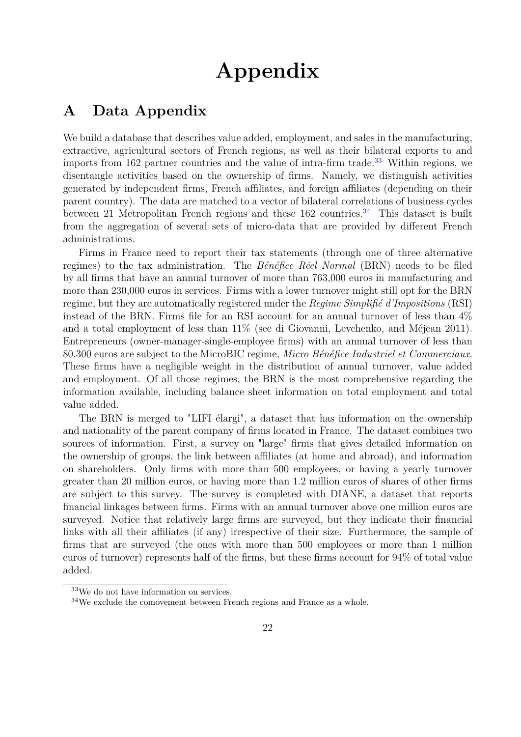# **Appendix**

# <span id="page-22-0"></span>**A Data Appendix**

We build a database that describes value added, employment, and sales in the manufacturing, extractive, agricultural sectors of French regions, as well as their bilateral exports to and imports from 162 partner countries and the value of intra-firm trade.<sup>[33](#page-0-0)</sup> Within regions, we disentangle activities based on the ownership of firms. Namely, we distinguish activities generated by independent firms, French affiliates, and foreign affiliates (depending on their parent country). The data are matched to a vector of bilateral correlations of business cycles between 21 Metropolitan French regions and these  $162$  countries.<sup>[34](#page-0-0)</sup> This dataset is built from the aggregation of several sets of micro-data that are provided by different French administrations.

Firms in France need to report their tax statements (through one of three alternative regimes) to the tax administration. The *Bénéfice Réel Normal* (BRN) needs to be filed by all firms that have an annual turnover of more than 763,000 euros in manufacturing and more than 230,000 euros in services. Firms with a lower turnover might still opt for the BRN regime, but they are automatically registered under the *Regime Simplifié d'Impositions* (RSI) instead of the BRN. Firms file for an RSI account for an annual turnover of less than 4% and a total employment of less than 11% (see di Giovanni, Levchenko, and Méjean 2011). Entrepreneurs (owner-manager-single-employee firms) with an annual turnover of less than 80,300 euros are subject to the MicroBIC regime, *Micro Bénéfice Industriel et Commerciaux*. These firms have a negligible weight in the distribution of annual turnover, value added and employment. Of all those regimes, the BRN is the most comprehensive regarding the information available, including balance sheet information on total employment and total value added.

The BRN is merged to "LIFI élargi", a dataset that has information on the ownership and nationality of the parent company of firms located in France. The dataset combines two sources of information. First, a survey on "large" firms that gives detailed information on the ownership of groups, the link between affiliates (at home and abroad), and information on shareholders. Only firms with more than 500 employees, or having a yearly turnover greater than 20 million euros, or having more than 1.2 million euros of shares of other firms are subject to this survey. The survey is completed with DIANE, a dataset that reports financial linkages between firms. Firms with an annual turnover above one million euros are surveyed. Notice that relatively large firms are surveyed, but they indicate their financial links with all their affiliates (if any) irrespective of their size. Furthermore, the sample of firms that are surveyed (the ones with more than 500 employees or more than 1 million euros of turnover) represents half of the firms, but these firms account for 94% of total value added.

<sup>33</sup>We do not have information on services.

<sup>34</sup>We exclude the comovement between French regions and France as a whole.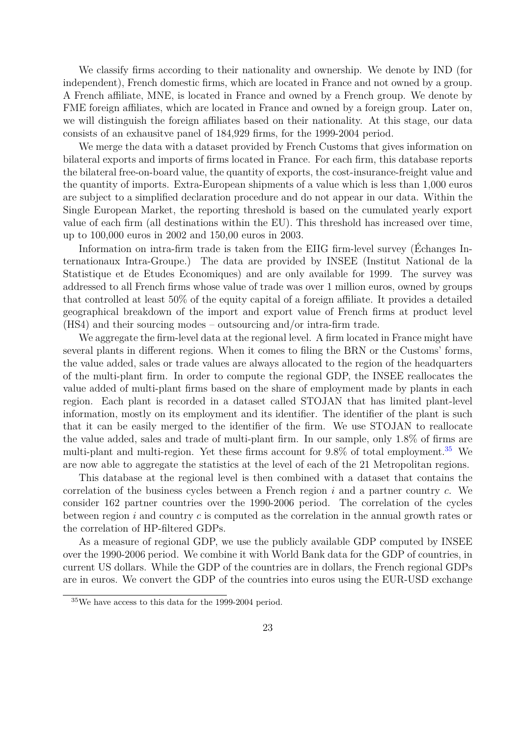We classify firms according to their nationality and ownership. We denote by IND (for independent), French domestic firms, which are located in France and not owned by a group. A French affiliate, MNE, is located in France and owned by a French group. We denote by FME foreign affiliates, which are located in France and owned by a foreign group. Later on, we will distinguish the foreign affiliates based on their nationality. At this stage, our data consists of an exhausitve panel of 184,929 firms, for the 1999-2004 period.

We merge the data with a dataset provided by French Customs that gives information on bilateral exports and imports of firms located in France. For each firm, this database reports the bilateral free-on-board value, the quantity of exports, the cost-insurance-freight value and the quantity of imports. Extra-European shipments of a value which is less than 1,000 euros are subject to a simplified declaration procedure and do not appear in our data. Within the Single European Market, the reporting threshold is based on the cumulated yearly export value of each firm (all destinations within the EU). This threshold has increased over time, up to 100,000 euros in 2002 and 150,00 euros in 2003.

Information on intra-firm trade is taken from the EIIG firm-level survey (Échanges Internationaux Intra-Groupe.) The data are provided by INSEE (Institut National de la Statistique et de Etudes Economiques) and are only available for 1999. The survey was addressed to all French firms whose value of trade was over 1 million euros, owned by groups that controlled at least 50% of the equity capital of a foreign affiliate. It provides a detailed geographical breakdown of the import and export value of French firms at product level (HS4) and their sourcing modes – outsourcing and/or intra-firm trade.

We aggregate the firm-level data at the regional level. A firm located in France might have several plants in different regions. When it comes to filing the BRN or the Customs' forms, the value added, sales or trade values are always allocated to the region of the headquarters of the multi-plant firm. In order to compute the regional GDP, the INSEE reallocates the value added of multi-plant firms based on the share of employment made by plants in each region. Each plant is recorded in a dataset called STOJAN that has limited plant-level information, mostly on its employment and its identifier. The identifier of the plant is such that it can be easily merged to the identifier of the firm. We use STOJAN to reallocate the value added, sales and trade of multi-plant firm. In our sample, only 1.8% of firms are multi-plant and multi-region. Yet these firms account for  $9.8\%$  of total employment.<sup>[35](#page-0-0)</sup> We are now able to aggregate the statistics at the level of each of the 21 Metropolitan regions.

This database at the regional level is then combined with a dataset that contains the correlation of the business cycles between a French region *i* and a partner country *c*. We consider 162 partner countries over the 1990-2006 period. The correlation of the cycles between region *i* and country *c* is computed as the correlation in the annual growth rates or the correlation of HP-filtered GDPs.

As a measure of regional GDP, we use the publicly available GDP computed by INSEE over the 1990-2006 period. We combine it with World Bank data for the GDP of countries, in current US dollars. While the GDP of the countries are in dollars, the French regional GDPs are in euros. We convert the GDP of the countries into euros using the EUR-USD exchange

<sup>35</sup>We have access to this data for the 1999-2004 period.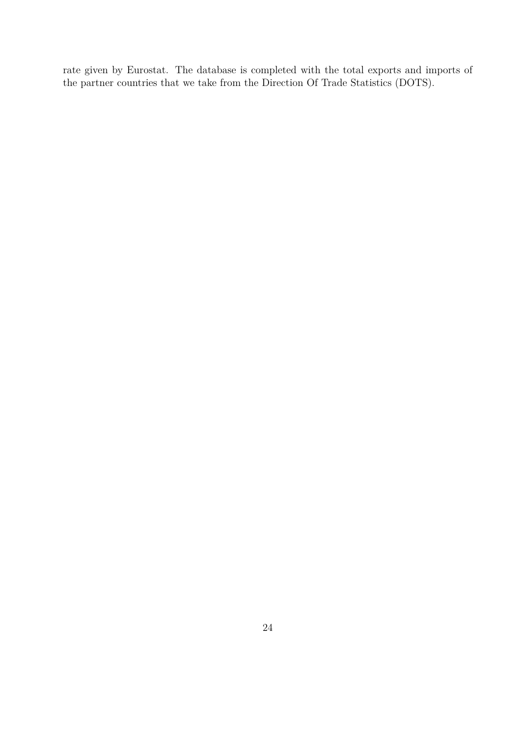rate given by Eurostat. The database is completed with the total exports and imports of the partner countries that we take from the Direction Of Trade Statistics (DOTS).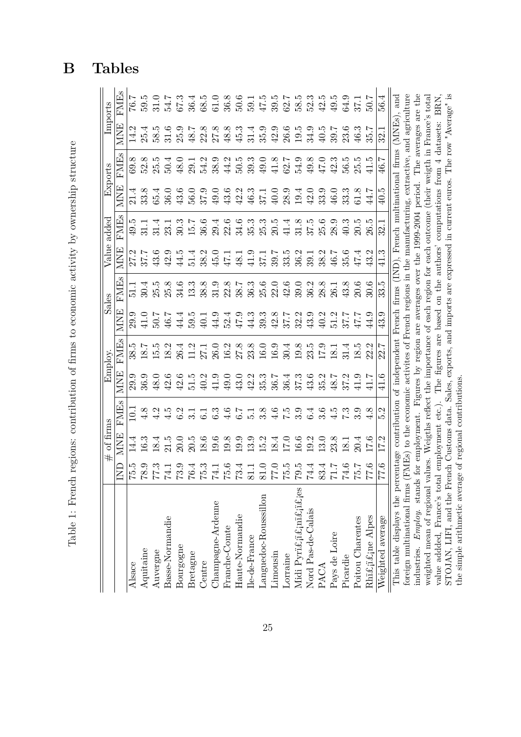|   | $\frac{1}{2}$<br>l<br>J<br><b>Additional Contract Contract</b><br>١ |
|---|---------------------------------------------------------------------|
|   |                                                                     |
|   | - 1<br>- 1<br>- 1<br>- 1<br>ł<br>,<br>s<br>)                        |
|   | $\sim$ $\sim$ $\sim$ $\sim$<br>י<br>וו<br>$\overline{1}$            |
|   | ist 15                                                              |
|   | י<br>ווי ווי ווי ד                                                  |
|   |                                                                     |
|   | i                                                                   |
|   | i<br>١                                                              |
|   | いろ こうなん こうりょう こうりょう                                                 |
| I | I                                                                   |
|   |                                                                     |
|   | İ                                                                   |
|   | i<br>j<br>$\overline{ }$                                            |
| I | Ċ,<br>I                                                             |

<span id="page-25-0"></span>

|                                                                                                  |                                                        | of firms<br>#   |                        |             | Employ       |           | Sales              | Value      | added                                                                                         |                       | Exports                              |                   | Imports                     |
|--------------------------------------------------------------------------------------------------|--------------------------------------------------------|-----------------|------------------------|-------------|--------------|-----------|--------------------|------------|-----------------------------------------------------------------------------------------------|-----------------------|--------------------------------------|-------------------|-----------------------------|
|                                                                                                  | g                                                      | MNE             | <b>FME<sub>s</sub></b> | <b>MNE</b>  | <b>FMIEs</b> | 匡<br>МN   | <b>FME</b>         | <b>MNE</b> | FMEs                                                                                          | <b>NINE</b>           | Φ<br>FME                             | <b>MNE</b>        | <b>FMEs</b>                 |
| Alsace                                                                                           | c.ci                                                   | 14.4            | $\Xi$                  | 29.9        | rö<br>38.    | ್:<br>29. | 51.                | 27.2       | 49.5                                                                                          | 4.<br>$\overline{21}$ | œ.<br>69.                            | $\vec{1}$         | 76.7                        |
| Aquitaine                                                                                        | 8.9                                                    | 16.3            | 4.8                    | 36.9        | 18.          | 41.0      | 30.4               | 37.7       |                                                                                               | 33.8                  | 52.8                                 | 25.4              | 5.05                        |
| Auvergne                                                                                         | $\ddot{r}$ 3                                           | 18.4            | 4.2                    | 48.0        | 15.5         | 50.7      | 25.5               | 43.6       | 31.4                                                                                          | 65.4                  | $25.5$                               | IJ<br>58.         | 31.0                        |
| Basse-Normandie                                                                                  | 74.1                                                   | 21.5            | 4.5                    | 42.6        | 18.2         | 46.7      | 25.8               | 42.9       | 23.1                                                                                          | 36.0                  | 50.4                                 | 31.6              | 54.7                        |
| Bourgogne                                                                                        | $73.9\,$                                               | 20.0            | 6.2                    | 42.6        | 26.4         | 44.4      | 34.6               | 44.5       | 30.3                                                                                          | 43.6                  | 48.0                                 | 25.9              | 67.3                        |
| Bretagne                                                                                         | $76.4\,$                                               | 20.5            |                        | 51.5        | 11.2         | 5.05      | 13.3               | 51.4       | 15.7                                                                                          | 56.0                  | 29.1                                 | 48.7              | 36.4                        |
| Centre                                                                                           | 5.3                                                    | 18.6            | $\overline{61}$        | 40.2        | 27.1         | 40.1      | 38.8               | 38.2       | 36.6                                                                                          | 37.9                  | 54.2                                 | 22.8              | 68.5                        |
| Champagne-Ardenne                                                                                | $74.1\,$                                               | 19.6            | 6.3                    | 41.9        | 26.0         | 44.9      | 31.9               | 45.0       | 29.4                                                                                          | 49.0                  | 38.9                                 | 27.8              | 61.0                        |
| Franche-Comte                                                                                    | 9.6                                                    | $19.8\,$        | 4.6                    | 49.0        | 16.2         | 52.4      | 22.8               | 47.1       | 22.6                                                                                          | 43.6                  | 44.2                                 | 48.8              | 36.8                        |
| Haute-Normandie                                                                                  | 73.4                                                   | 19.9            | 6.7                    | 43.0        | 27.8         | 47.9      | 38.7               | 48.1       | 34.6                                                                                          | 42.2                  | $50.5$                               | 45.3              | 50.6                        |
| Ile-de-France                                                                                    |                                                        | 13.9            | $\overline{5}$ .       | 42.2        | 23.8         | 44.3      | 36.3               | 41.9       | 35.3                                                                                          | 46.3                  | 39.3                                 | 31.4              | 59.1                        |
| Languedoc-Rousssillon                                                                            |                                                        | 15.2            | 3.8                    | 35.3        | 16.0         | 39.3      | 25.6               | 37.1       | 25.3                                                                                          | 37.1                  | 49.0                                 | 35.9              | 47.5                        |
| Limousin                                                                                         | $\begin{array}{c} 81.1 \\ 81.0 \\ 77.5 \\ \end{array}$ | 18.4            | $\frac{6}{4}$          | 36.7        | 16.9         | 42.8      | 22.0               | 39.7       | 20.5                                                                                          | 40.0                  | 41.8                                 | 42.9              | 39.5                        |
| Lorraine                                                                                         |                                                        | $17.0\,$        | ζ.,                    | 36.4        | 30.4         | 7.78      | 42.6               | 33.5       | 41.4                                                                                          | 28.9                  | 62.7                                 | 26.6              | 62.7                        |
| Midi Pyri£ji£jni£ji£jes                                                                          | $79.5\,$                                               | 16.6            | 3.9                    | 37.3        | 19.8         | 32.2      | 39.0               | 36.2       | 31.8                                                                                          | 19.4                  | 54.9                                 | $19.5\,$          | 58.5                        |
| Nord Pas-de-Calais                                                                               | $74.4\,$                                               | 19.2            | 6.4                    | 43.6        | 23.5         | 43.9      | 36.2               | 39.1       | 37.5                                                                                          | 42.0                  | 49.8                                 | 34.9              | 52.3                        |
| PACA                                                                                             | 83.4                                                   | $13.0\,$        | 3.6                    | 35.2        | 17.9         | 40.2      | 28.8               | 38.2       | 25.6                                                                                          | 33.9                  | 47.0                                 | $40.5$            | 42.5                        |
| Pays de Loire                                                                                    | $\overline{L}$                                         | 23.8            | 4.5                    | 48.7        | 18.1         | 51.2      | 26.1               | 46.7       | 28.9                                                                                          | 46.0                  | 42.3                                 | 39.7              | 49.5                        |
| Picardie                                                                                         | $74.6\,$                                               | 18.1            | 7.3                    | 37.2        | 31.4         | 37.7      | 43.8               | 35.6       | 40.3                                                                                          | 33.3                  | 56.5                                 | 23.6              | 64.9                        |
| Poitou Charentes                                                                                 | $\frac{1}{2}$ .7                                       | 20.4            | 3.9                    | 41.9        | 18.5         | 7.74      | 20.6               | 47.4       | 20.5                                                                                          | 61.8                  | LC.<br>$\tilde{25}$                  | 46.3              | 37.1                        |
| Rhi£ji£jne Alpes                                                                                 | 0.7                                                    | 17.6            | 4.8                    | 41.7        | 22           | 44.9      | 30.6               | Ņ,<br>43.  | ro<br>26.                                                                                     | 44.7                  | rC<br>$\overline{41}$                | 35.7              | 7.05                        |
| Weighted average                                                                                 | $\ddot{5}$ .                                           | 17.2            | 5.2                    | 41.6        | 22.7         | 43.9      | 33.5               | 41.3       | 32.1                                                                                          | 40.5                  | 46.7                                 | 32.1              | 56.4                        |
| This table displays the percentage contribution of independent                                   |                                                        |                 |                        |             |              |           | French firms (IND) |            | , French multinational firms                                                                  |                       |                                      | (MNEs)            | $\mathop{\rm and}\nolimits$ |
| foreign multinational firms (FMEs)                                                               |                                                        |                 |                        |             |              |           |                    |            | to the economic activites of French regions in the manufacturing, extractive, and agriculture |                       |                                      |                   |                             |
| industries. Employ. stands                                                                       |                                                        | for employment. |                        |             |              |           |                    |            | Figures by region are averages over the 1999-2004 period.                                     |                       | The                                  | averages          | are                         |
| weighted mean of regional values. Weights reflect the importance of each region for each outcome |                                                        |                 |                        |             |              |           |                    |            |                                                                                               |                       | (their weigth in France <sup>:</sup> |                   | s total                     |
| value addded, France's total                                                                     |                                                        | employment      | etc.)                  | The figures | are          | based     | on the             | authors'   | computations                                                                                  |                       | from $4$                             | datasets:         | <b>BRN</b>                  |
| STOJAN, LIFI, and the French Customs data.                                                       |                                                        |                 |                        |             |              |           |                    |            | Sales, exports, and imports are expressed in current euros.                                   |                       |                                      | The row "Average" | $\mathbf{g}$ .              |
| the simple arithmetic average of regional contributions                                          |                                                        |                 |                        |             |              |           |                    |            |                                                                                               |                       |                                      |                   |                             |

# **B Tables**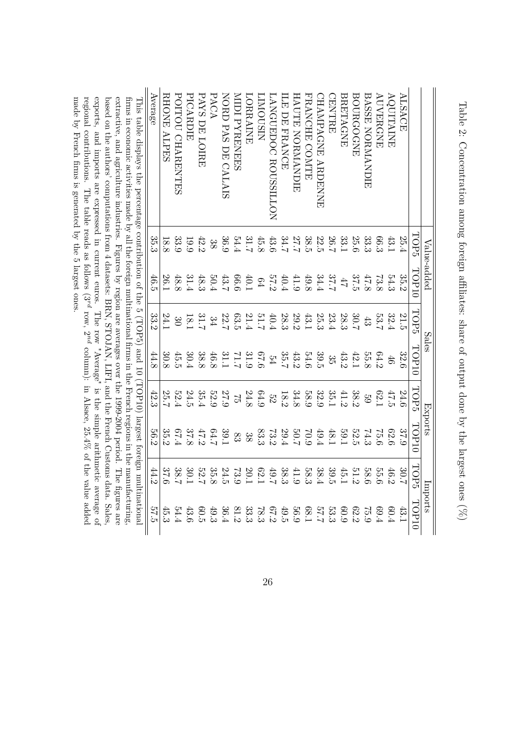<span id="page-26-0"></span>

made by French firms is generated by the 5 largest ones.

Table 2: Concentration among foreign affiliates: share of output done by the largest ones  $(\%)$ Table 2: Concentration among foreign affiliates: share of output done by the largest ones  $(\%$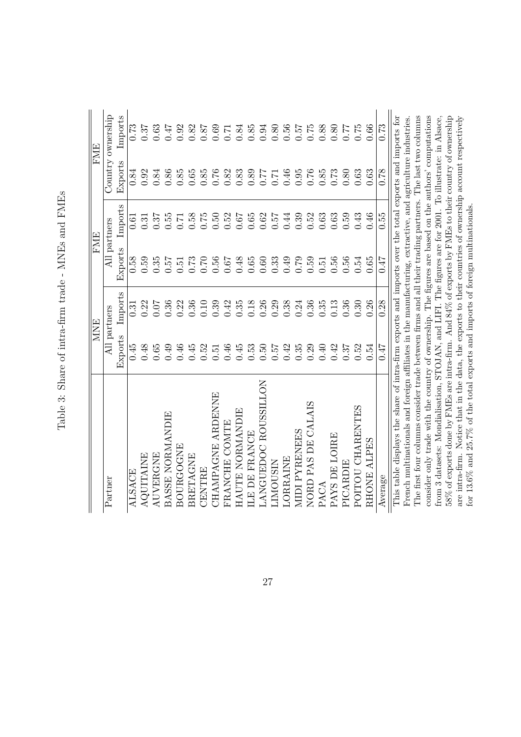| $\frac{1}{2}$<br>S and the contract of<br>s<br>c |
|--------------------------------------------------|
| <br> <br> <br>ا                                  |
| I                                                |
| $-1 - 1$<br>ľ<br>ς<br>L<br>$22 + 22$<br>l        |
| $\sim 2.5$<br>Í<br>Į                             |
| 5                                                |

<span id="page-27-0"></span>

|                                                                                                            |          | <b>MNE</b>   |          | <b>FME</b>   |          | <b>FME</b>        |
|------------------------------------------------------------------------------------------------------------|----------|--------------|----------|--------------|----------|-------------------|
| Partner                                                                                                    |          | All partners |          | All partners |          | Country ownership |
|                                                                                                            | Exports  | Imports      | Exports  | Imports      | Exports  | Imports           |
| <b>ALSACE</b>                                                                                              | 0.45     | 0.31         | 0.58     | 0.61         | 0.84     | 0.73              |
| <b>AQUITAINE</b>                                                                                           | 0.48     | 0.22         | 0.59     | 0.31         | 0.92     | 0.37              |
| AUVERGNE                                                                                                   | 0.65     | 0.07         | 0.35     | 0.37         | 0.84     | 0.63              |
| BASSE NORMANDIE                                                                                            | 0.49     | 0.36         | 757      | 0.55         | 0.86     | 747               |
| BOURGOGNE                                                                                                  | 0.46     | 0.22         | 0.51     | 0.71         | 0.85     | 0.92              |
| <b>BRETAGNE</b>                                                                                            | 0.45     | 0.36         | 0.73     | 0.58         | 0.65     | 0.82              |
| CENTRE                                                                                                     | 0.52     | 0.10         | 0.70     | 0.75         | 0.85     | 0.87              |
| CHAMPAGNE ARDENNE                                                                                          | $0.51\,$ | 0.39         | 0.56     | 0.50         | $0.76\,$ | 0.69              |
| FRANCHE COMTE                                                                                              | 0.46     | 0.42         | 0.67     | 0.52         | 0.82     | 0.71              |
| HAUTE NORMANDIE                                                                                            | 0.45     | 0.35         | 0.48     | $0.67\,$     | 0.83     | 0.84              |
| LE DE FRANCE                                                                                               | 0.53     | 0.18         | $0.65\,$ | $0.65\,$     | 0.89     | 0.85              |
| LANGUEDOC ROUSSILLON                                                                                       | 0.50     | 0.26         | 0.60     | 0.62         | 77.0     | 0.94              |
| LIMOUSIN                                                                                                   | 0.57     | 0.29         | 0.33     | 0.57         | $0.71\,$ | $0.80\,$          |
| LORRAINE                                                                                                   | 0.42     | 0.38         | 0.49     | 0.44         | 0.46     | 0.56              |
| <b>MIDI PYRENEES</b>                                                                                       | 0.35     | 0.24         | 0.79     | 0.39         | 0.95     | $72.0\,$          |
| NORD PAS DE CALAIS                                                                                         | 0.29     | 0.36         | 0.59     | 0.52         | 0.76     | 0.75              |
| PACA                                                                                                       | $0.40\,$ | 0.35         | $0.51\,$ | 0.63         | 0.85     | 0.88              |
| PAYS DE LOIRE                                                                                              | 0.42     | 0.13         | 0.56     | $\,0.63$     | 0.73     | $0.80\,$          |
| PICARDIE                                                                                                   | 0.37     | 0.36         | 0.56     | 0.59         | 0.80     | 77.0              |
| POITOU CHARENTES                                                                                           | 0.52     | 0.30         | 0.54     | 0.43         | 0.63     | 0.75              |
| RHONE ALPES                                                                                                | 0.54     | 0.26         | 0.65     | 0.46         | 0.63     | 0.66              |
| Average                                                                                                    | 7147     | 0.28         | 71.0     | 0.55         | 0.78     | 0.73              |
| This table displays the share of intra-firm exports and imports over the total exports and imports for     |          |              |          |              |          |                   |
| French multinationals and foreign affiliates in the manufacturing, extractive, and agriculture industries. |          |              |          |              |          |                   |
| The first four columns consider trade between firms and all their trading partners. The last two columns   |          |              |          |              |          |                   |
| consider only trade with the country of ownership. The figures are based on the authors' computations      |          |              |          |              |          |                   |
| from 3 datasets: Mondialisation, STOJAN, and LIFI. The figures are for 2001. To illustrate: in Alsace,     |          |              |          |              |          |                   |
| 58% of exports done by FMEs are intra-firm. And 84% of exports by FMEs to their country of ownership       |          |              |          |              |          |                   |
| are intra-firm. Notice that in the data, the exports to their countries of ownership account respectively  |          |              |          |              |          |                   |
| for 13.6% and 25.7% of the total exports and imports of foreign multinationals.                            |          |              |          |              |          |                   |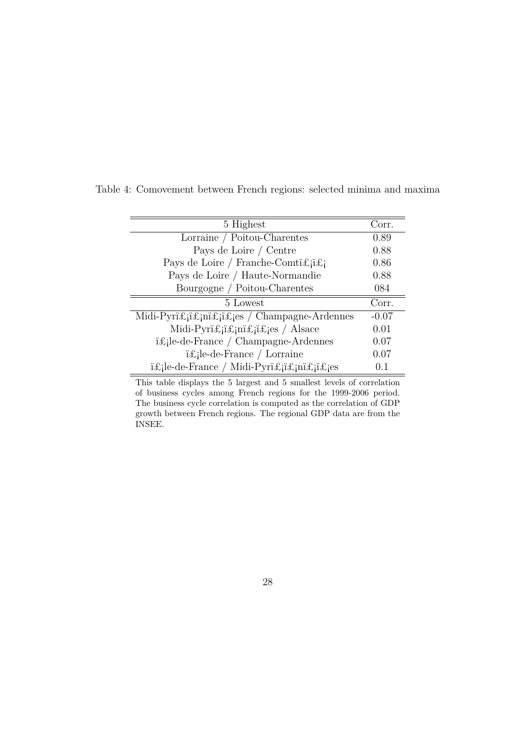| 5 Highest                                              | Corr.   |
|--------------------------------------------------------|---------|
| Lorraine / Poitou-Charentes                            | 0.89    |
| Pays de Loire / Centre                                 | 0.88    |
| Pays de Loire / Franche-Comti£ji£j                     | 0.86    |
| Pays de Loire / Haute-Normandie                        | 0.88    |
| Bourgogne / Poitou-Charentes                           | 084     |
| 5 Lowest                                               | Corr.   |
| Midi-Pyri£ji£jni£ji£jes / Champagne-Ardennes           | $-0.07$ |
| Midi-Pyri£ji£jni£ji£jes / Alsace                       | 0.01    |
| $i$ £;le-de-France / Champagne-Ardennes                | 0.07    |
| $i$ £jle-de-France / Lorraine                          | 0.07    |
| i£ <sub>i</sub> le-de-France / Midi-Pyri£ji£jni£ji£jes | 0.1     |

<span id="page-28-0"></span>Table 4: Comovement between French regions: selected minima and maxima

This table displays the 5 largest and 5 smallest levels of correlation of business cycles among French regions for the 1999-2006 period. The business cycle correlation is computed as the correlation of GDP growth between French regions. The regional GDP data are from the INSEE.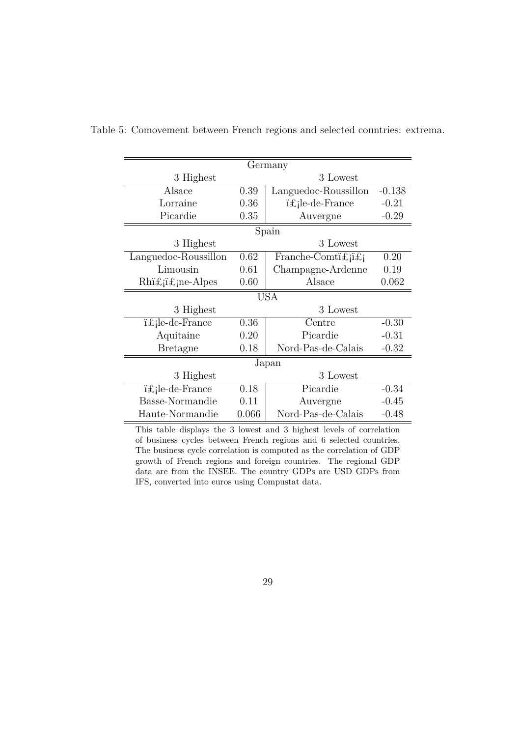|                                                                 |       | Germany                                 |          |  |  |  |
|-----------------------------------------------------------------|-------|-----------------------------------------|----------|--|--|--|
| 3 Highest                                                       |       | 3 Lowest                                |          |  |  |  |
| Alsace                                                          | 0.39  | Languedoc-Roussillon                    | $-0.138$ |  |  |  |
| Lorraine                                                        | 0.36  | i£ <sub>i</sub> le-de-France            | $-0.21$  |  |  |  |
| Picardie                                                        | 0.35  | Auvergne                                | $-0.29$  |  |  |  |
|                                                                 |       | Spain                                   |          |  |  |  |
| 3 Highest                                                       |       | 3 Lowest                                |          |  |  |  |
| Languedoc-Roussillon                                            | 0.62  | Franche-Comti $\pounds_i$ i $\pounds_i$ | 0.20     |  |  |  |
| Limousin                                                        | 0.61  | Champagne-Ardenne<br>0.19               |          |  |  |  |
| $Rh$ i $\pounds$ <sub>i</sub> i $\pounds$ <sub>i</sub> ne-Alpes | 0.60  | Alsace<br>0.062                         |          |  |  |  |
|                                                                 |       | <b>USA</b>                              |          |  |  |  |
| 3 Highest                                                       |       | 3 Lowest                                |          |  |  |  |
| i£ <sub>i</sub> le-de-France                                    | 0.36  | Centre                                  | $-0.30$  |  |  |  |
| Aquitaine                                                       | 0.20  | Picardie                                | $-0.31$  |  |  |  |
| <b>Bretagne</b>                                                 | 0.18  | Nord-Pas-de-Calais                      | $-0.32$  |  |  |  |
|                                                                 |       | Japan                                   |          |  |  |  |
| 3 Highest                                                       |       | 3 Lowest                                |          |  |  |  |
| i£ <sub>i</sub> le-de-France                                    | 0.18  | Picardie                                | $-0.34$  |  |  |  |
| Basse-Normandie                                                 | 0.11  | Auvergne                                | $-0.45$  |  |  |  |
| Haute-Normandie                                                 | 0.066 | Nord-Pas-de-Calais                      | $-0.48$  |  |  |  |

<span id="page-29-0"></span>Table 5: Comovement between French regions and selected countries: extrema.

This table displays the 3 lowest and 3 highest levels of correlation of business cycles between French regions and 6 selected countries. The business cycle correlation is computed as the correlation of GDP growth of French regions and foreign countries. The regional GDP data are from the INSEE. The country GDPs are USD GDPs from IFS, converted into euros using Compustat data.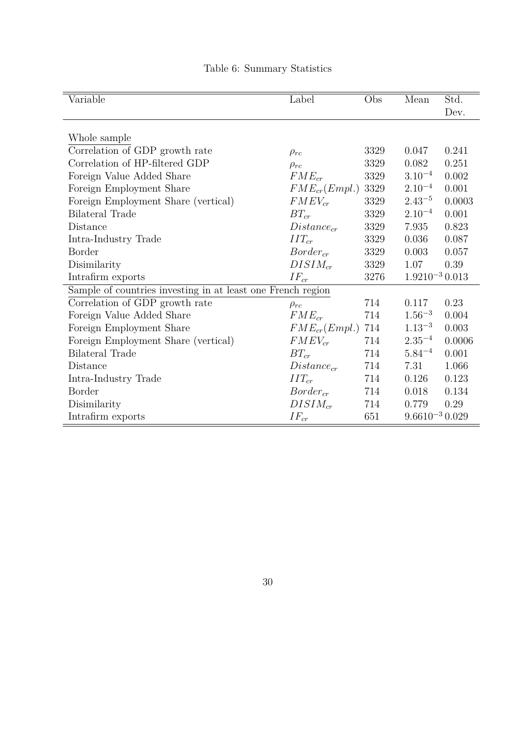<span id="page-30-0"></span>

| Variable                                                    | Label             | Obs      | Mean                | Std.   |
|-------------------------------------------------------------|-------------------|----------|---------------------|--------|
|                                                             |                   |          |                     | Dev.   |
|                                                             |                   |          |                     |        |
| Whole sample                                                |                   |          |                     |        |
| Correlation of GDP growth rate                              | $\rho_{rc}$       | 3329     | 0.047               | 0.241  |
| Correlation of HP-filtered GDP                              | $\rho_{rc}$       | 3329     | 0.082               | 0.251  |
| Foreign Value Added Share                                   | $FME_{cr}$        | 3329     | $3.10^{-4}$         | 0.002  |
| Foreign Employment Share                                    | $FME_{cr}(Empl.)$ | 3329     | $2.10^{-4}$         | 0.001  |
| Foreign Employment Share (vertical)                         | $FMEV_{cr}$       | 3329     | $2.43^{-5}$         | 0.0003 |
| <b>Bilateral Trade</b>                                      | $BT_{cr}$         | 3329     | $2.10^{-4}$         | 0.001  |
| Distance                                                    | $Distance_{cr}$   | 3329     | 7.935               | 0.823  |
| Intra-Industry Trade                                        | $IIT_{cr}$        | $3329\,$ | 0.036               | 0.087  |
| <b>Border</b>                                               | $Border_{cr}$     | 3329     | 0.003               | 0.057  |
| Disimilarity                                                | $DISIM_{cr}$      | 3329     | 1.07                | 0.39   |
| Intrafirm exports                                           | $IF_{cr}$         | 3276     | $1.9210^{-3}$ 0.013 |        |
| Sample of countries investing in at least one French region |                   |          |                     |        |
| Correlation of GDP growth rate                              | $\rho_{rc}$       | 714      | 0.117               | 0.23   |
| Foreign Value Added Share                                   | $FME_{cr}$        | 714      | $1.56^{-3}$         | 0.004  |
| Foreign Employment Share                                    | $FME_{cr}(Empl.)$ | 714      | $1.13^{-3}$         | 0.003  |
| Foreign Employment Share (vertical)                         | $FMEV_{cr}$       | 714      | $2.35^{-4}$         | 0.0006 |
| <b>Bilateral Trade</b>                                      | $BT_{cr}$         | 714      | $5.84^{-4}$         | 0.001  |
| Distance                                                    | $Distance_{cr}$   | 714      | 7.31                | 1.066  |
| Intra-Industry Trade                                        | $IIT_{cr}$        | 714      | 0.126               | 0.123  |
| Border                                                      | $Border_{cr}$     | 714      | 0.018               | 0.134  |
| Disimilarity                                                | $DISIM_{cr}$      | 714      | 0.779               | 0.29   |
| Intrafirm exports                                           | $IF_{cr}$         | 651      | $9.6610^{-3}$ 0.029 |        |

## Table 6: Summary Statistics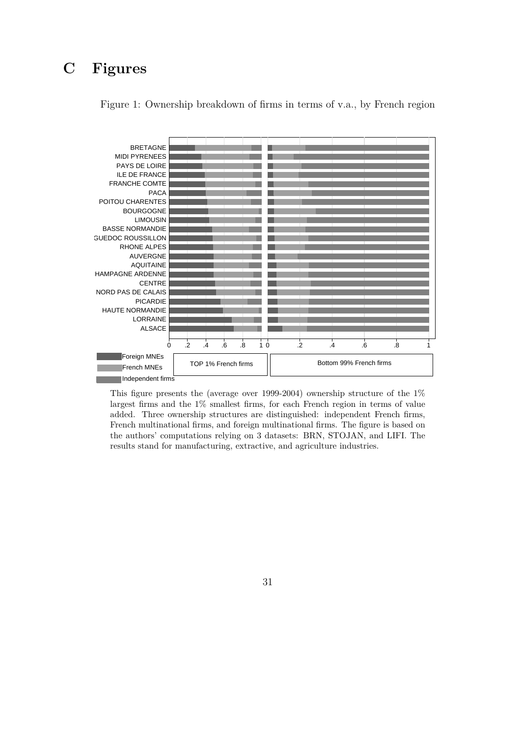# <span id="page-31-0"></span>**C Figures**



Figure 1: Ownership breakdown of firms in terms of v.a., by French region

This figure presents the (average over 1999-2004) ownership structure of the 1% largest firms and the 1% smallest firms, for each French region in terms of value added. Three ownership structures are distinguished: independent French firms, French multinational firms, and foreign multinational firms. The figure is based on the authors' computations relying on 3 datasets: BRN, STOJAN, and LIFI. The results stand for manufacturing, extractive, and agriculture industries.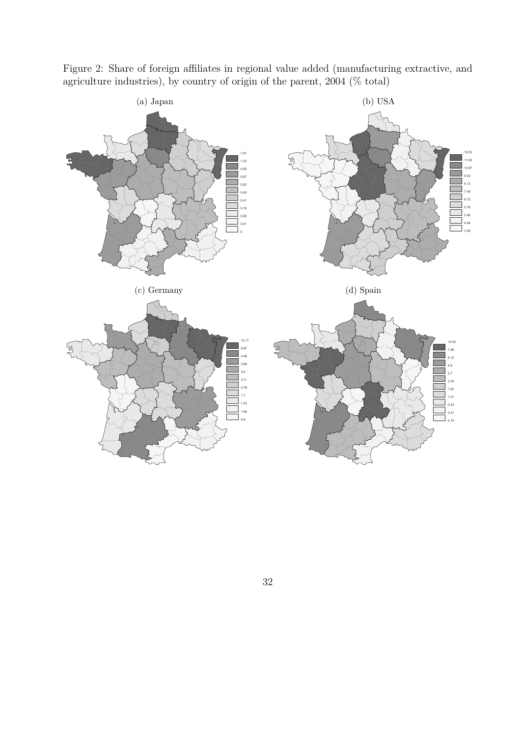

<span id="page-32-0"></span>Figure 2: Share of foreign affiliates in regional value added (manufacturing extractive, and agriculture industries), by country of origin of the parent, 2004 (% total)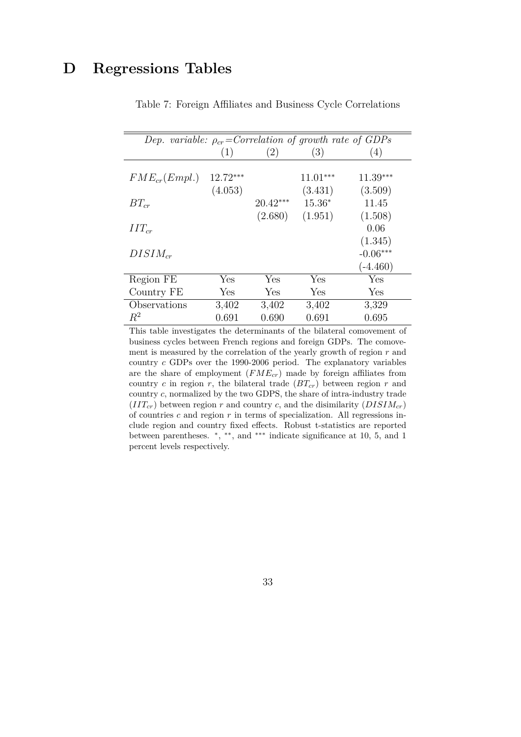# <span id="page-33-0"></span>**D Regressions Tables**

| Dep. variable: $\rho_{cr}$ =Correlation of growth rate of GDPs |          |                       |                                |                             |
|----------------------------------------------------------------|----------|-----------------------|--------------------------------|-----------------------------|
|                                                                | (1)      | (2)                   | (3)                            | (4)                         |
| $FME_{cr}(Empl.)$                                              | 12.72*** |                       | $11.01***$                     | $11.39***$                  |
| $BT_{cr}$                                                      | (4.053)  | $20.42***$<br>(2.680) | (3.431)<br>$15.36*$<br>(1.951) | (3.509)<br>11.45<br>(1.508) |
| $IIT_{cr}$                                                     |          |                       |                                | 0.06<br>(1.345)             |
| $DISIM_{cr}$                                                   |          |                       |                                | $-0.06***$<br>$(-4.460)$    |
| Region FE                                                      | Yes      | Yes                   | Yes                            | Yes                         |
| Country FE                                                     | Yes      | Yes                   | Yes                            | Yes                         |
| Observations                                                   | 3,402    | 3,402                 | 3,402                          | 3,329                       |
| $R^2$                                                          | 0.691    | 0.690                 | 0.691                          | 0.695                       |

Table 7: Foreign Affiliates and Business Cycle Correlations

This table investigates the determinants of the bilateral comovement of business cycles between French regions and foreign GDPs. The comovement is measured by the correlation of the yearly growth of region *r* and country *c* GDPs over the 1990-2006 period. The explanatory variables are the share of employment (*FMEcr*) made by foreign affiliates from country  $c$  in region  $r$ , the bilateral trade  $(BT_{cr})$  between region  $r$  and country *c*, normalized by the two GDPS, the share of intra-industry trade  $(III<sub>cr</sub>)$  between region *r* and country *c*, and the disimilarity  $(DISIM<sub>cr</sub>)$ of countries *c* and region *r* in terms of specialization. All regressions include region and country fixed effects. Robust t-statistics are reported between parentheses.  $*, **$ , and \*\*\* indicate significance at 10, 5, and 1 percent levels respectively.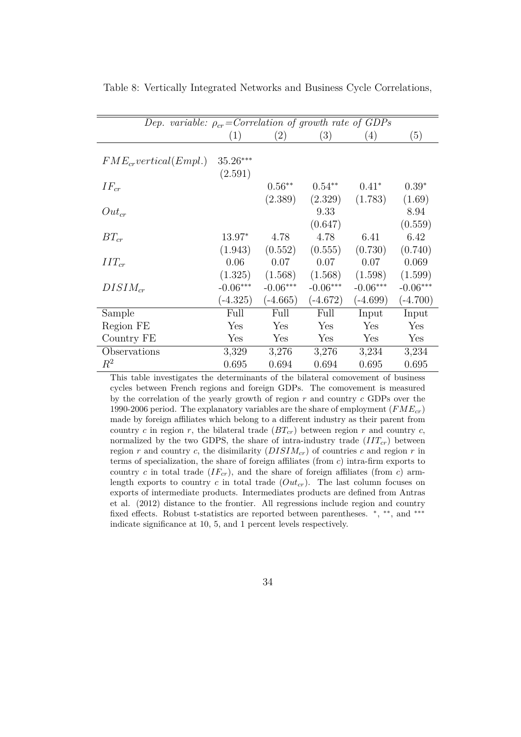| Dep. variable: $\rho_{cr}$ =Correlation of growth rate of GDPs |                  |                   |                   |            |            |
|----------------------------------------------------------------|------------------|-------------------|-------------------|------------|------------|
|                                                                | $\left(1\right)$ | $\left( 2\right)$ | $\left( 3\right)$ | (4)        | (5)        |
|                                                                |                  |                   |                   |            |            |
| $FME_{cr} vertical (Empl.)$                                    | $35.26***$       |                   |                   |            |            |
|                                                                | (2.591)          |                   |                   |            |            |
| $IF_{cr}$                                                      |                  | $0.56**$          | $0.54**$          | $0.41*$    | $0.39*$    |
|                                                                |                  | (2.389)           | (2.329)           | (1.783)    | (1.69)     |
| $Out_{cr}$                                                     |                  |                   | 9.33              |            | 8.94       |
|                                                                |                  |                   | (0.647)           |            | (0.559)    |
| $BT_{cr}$                                                      | 13.97*           | 4.78              | 4.78              | 6.41       | 6.42       |
|                                                                | (1.943)          | (0.552)           | (0.555)           | (0.730)    | (0.740)    |
| $IIT_{cr}$                                                     | 0.06             | 0.07              | 0.07              | 0.07       | 0.069      |
|                                                                | (1.325)          | (1.568)           | (1.568)           | (1.598)    | (1.599)    |
| $DISIM_{cr}$                                                   | $-0.06***$       | $-0.06***$        | $-0.06***$        | $-0.06***$ | $-0.06***$ |
|                                                                | $(-4.325)$       | $(-4.665)$        | $(-4.672)$        | $(-4.699)$ | $(-4.700)$ |
| Sample                                                         | Full             | Full              | Full              | Input      | Input      |
| Region FE                                                      | Yes              | Yes               | Yes               | Yes        | Yes        |
| Country FE                                                     | Yes              | Yes               | Yes               | Yes        | Yes        |
| Observations                                                   | 3,329            | 3,276             | 3,276             | 3,234      | 3,234      |
| $\,R^2$                                                        | 0.695            | 0.694             | 0.694             | 0.695      | 0.695      |

<span id="page-34-0"></span>Table 8: Vertically Integrated Networks and Business Cycle Correlations,

This table investigates the determinants of the bilateral comovement of business cycles between French regions and foreign GDPs. The comovement is measured by the correlation of the yearly growth of region *r* and country *c* GDPs over the 1990-2006 period. The explanatory variables are the share of employment (*FMEcr*) made by foreign affiliates which belong to a different industry as their parent from country *c* in region *r*, the bilateral trade  $(BT_{cr})$  between region *r* and country *c*, normalized by the two GDPS, the share of intra-industry trade  $(III_{cr})$  between region *r* and country *c*, the disimilarity  $(DISIM_{cr})$  of countries *c* and region *r* in terms of specialization, the share of foreign affiliates (from *c*) intra-firm exports to country *c* in total trade  $(IF_{cr})$ , and the share of foreign affiliates (from *c*) armlength exports to country *c* in total trade (*Outcr*). The last column focuses on exports of intermediate products. Intermediates products are defined from Antras et al. (2012) distance to the frontier. All regressions include region and country fixed effects. Robust t-statistics are reported between parentheses.  $*, **$ , and \*\*\* indicate significance at 10, 5, and 1 percent levels respectively.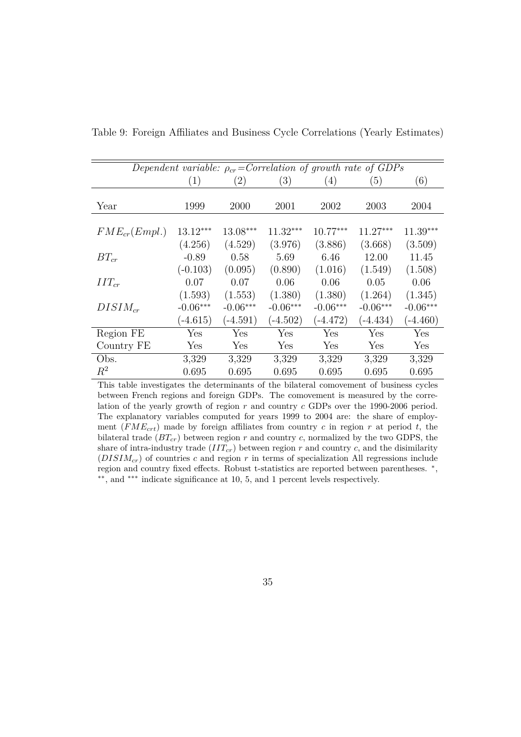|                   |                                     |                                     |                                     |                                     | Dependent variable: $\rho_{cr}$ =Correlation of growth rate of GDPs |                                     |
|-------------------|-------------------------------------|-------------------------------------|-------------------------------------|-------------------------------------|---------------------------------------------------------------------|-------------------------------------|
|                   | (1)                                 | (2)                                 | (3)                                 | (4)                                 | (5)                                                                 | (6)                                 |
| Year              | 1999                                | 2000                                | 2001                                | 2002                                | 2003                                                                | 2004                                |
| $FME_{cr}(Empl.)$ | $13.12***$                          | $13.08***$                          | $11.32***$                          | $10.77***$                          | $11.27***$                                                          | $11.39***$                          |
| $BT_{cr}$         | (4.256)<br>$-0.89$                  | (4.529)<br>0.58                     | (3.976)<br>5.69                     | (3.886)<br>6.46                     | (3.668)<br>12.00                                                    | (3.509)<br>11.45                    |
|                   | $(-0.103)$                          | (0.095)                             | (0.890)                             | (1.016)                             | (1.549)                                                             | (1.508)                             |
| $IIT_{cr}$        | 0.07                                | 0.07                                | 0.06                                | 0.06                                | 0.05                                                                | 0.06                                |
| $DISIM_{cr}$      | (1.593)<br>$-0.06***$<br>$(-4.615)$ | (1.553)<br>$-0.06***$<br>$(-4.591)$ | (1.380)<br>$-0.06***$<br>$(-4.502)$ | (1.380)<br>$-0.06***$<br>$(-4.472)$ | (1.264)<br>$-0.06***$<br>$(-4.434)$                                 | (1.345)<br>$-0.06***$<br>$(-4.460)$ |
| Region FE         | Yes                                 | Yes                                 | Yes                                 | Yes                                 | Yes                                                                 | Yes                                 |
| Country FE        | Yes                                 | Yes                                 | Yes                                 | Yes                                 | Yes                                                                 | Yes                                 |
| Obs.              | 3,329                               | 3,329                               | 3,329                               | 3,329                               | 3,329                                                               | 3,329                               |
| $R^2$             | 0.695                               | 0.695                               | 0.695                               | 0.695                               | 0.695                                                               | 0.695                               |

<span id="page-35-0"></span>Table 9: Foreign Affiliates and Business Cycle Correlations (Yearly Estimates)

This table investigates the determinants of the bilateral comovement of business cycles between French regions and foreign GDPs. The comovement is measured by the correlation of the yearly growth of region *r* and country *c* GDPs over the 1990-2006 period. The explanatory variables computed for years 1999 to 2004 are: the share of employment  $(FME<sub>crt</sub>)$  made by foreign affiliates from country *c* in region *r* at period *t*, the bilateral trade  $(BT_{cr})$  between region  $r$  and country  $c$ , normalized by the two GDPS, the share of intra-industry trade  $(III<sub>cr</sub>)$  between region  $r$  and country  $c$ , and the disimilarity  $(DISIM_{cr})$  of countries *c* and region *r* in terms of specialization All regressions include region and country fixed effects. Robust t-statistics are reported between parentheses. <sup>∗</sup> , ∗∗, and ∗∗∗ indicate significance at 10, 5, and 1 percent levels respectively.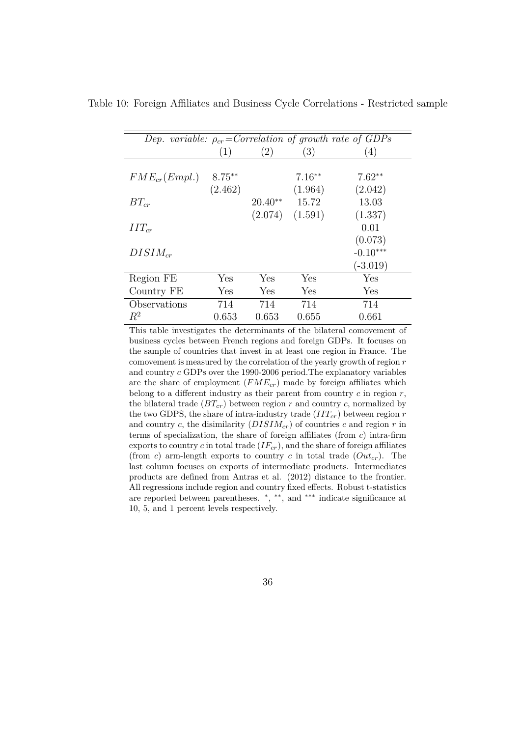| Dep. variable: $\rho_{cr}$ =Correlation of growth rate of GDPs |           |           |          |            |
|----------------------------------------------------------------|-----------|-----------|----------|------------|
|                                                                | (1)       | (2)       | (3)      | (4)        |
|                                                                |           |           |          |            |
| $FME_{cr}(Empl.)$                                              | $8.75***$ |           | $7.16**$ | $7.62**$   |
|                                                                | (2.462)   |           | (1.964)  | (2.042)    |
| $BT_{cr}$                                                      |           | $20.40**$ | 15.72    | 13.03      |
|                                                                |           | (2.074)   | (1.591)  | (1.337)    |
| $IIT_{cr}$                                                     |           |           |          | 0.01       |
|                                                                |           |           |          | (0.073)    |
| $DISIM_{cr}$                                                   |           |           |          | $-0.10***$ |
|                                                                |           |           |          | $(-3.019)$ |
| Region FE                                                      | Yes       | Yes       | Yes      | Yes        |
| Country FE                                                     | Yes       | Yes       | Yes      | Yes        |
| Observations                                                   | 714       | 714       | 714      | 714        |
| $R^2$                                                          | 0.653     | 0.653     | 0.655    | 0.661      |

<span id="page-36-0"></span>Table 10: Foreign Affiliates and Business Cycle Correlations - Restricted sample

This table investigates the determinants of the bilateral comovement of business cycles between French regions and foreign GDPs. It focuses on the sample of countries that invest in at least one region in France. The comovement is measured by the correlation of the yearly growth of region *r* and country *c* GDPs over the 1990-2006 period.The explanatory variables are the share of employment (*FMEcr*) made by foreign affiliates which belong to a different industry as their parent from country  $c$  in region  $r$ , the bilateral trade  $(BT_{cr})$  between region  $r$  and country  $c$ , normalized by the two GDPS, the share of intra-industry trade (*IITcr*) between region *r* and country *c*, the disimilarity  $(DISIM_{cr})$  of countries *c* and region *r* in terms of specialization, the share of foreign affiliates (from *c*) intra-firm exports to country *c* in total trade  $(IF_{cr})$ , and the share of foreign affiliates (from *c*) arm-length exports to country *c* in total trade  $(Out_{cr})$ . The last column focuses on exports of intermediate products. Intermediates products are defined from Antras et al. (2012) distance to the frontier. All regressions include region and country fixed effects. Robust t-statistics are reported between parentheses. <sup>∗</sup> , ∗∗, and ∗∗∗ indicate significance at 10, 5, and 1 percent levels respectively.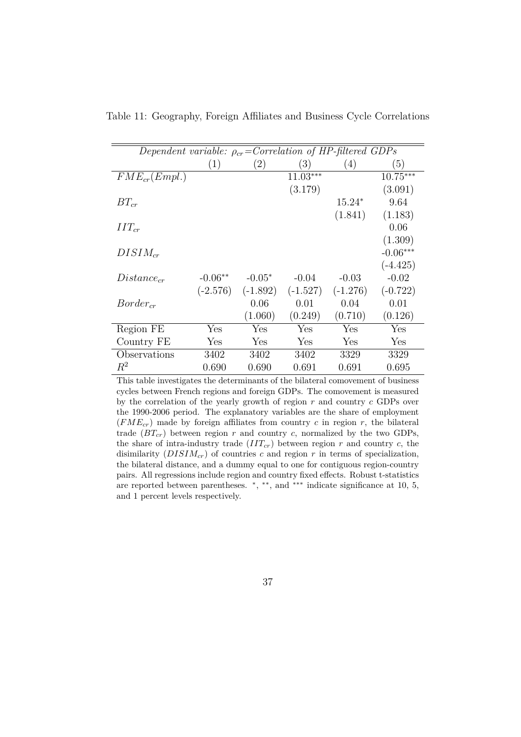| Dependent variable: $\rho_{cr}$ =Correlation of HP-filtered GDPs |            |            |            |            |            |
|------------------------------------------------------------------|------------|------------|------------|------------|------------|
|                                                                  | (1)        | (2)        | (3)        | (4)        | (5)        |
| $FME_{cr}(Empl.)$                                                |            |            | $11.03***$ |            | $10.75***$ |
|                                                                  |            |            | (3.179)    |            | (3.091)    |
| $BT_{cr}$                                                        |            |            |            | $15.24*$   | 9.64       |
|                                                                  |            |            |            | (1.841)    | (1.183)    |
| $IIT_{cr}$                                                       |            |            |            |            | 0.06       |
|                                                                  |            |            |            |            | (1.309)    |
| $DISIM_{cr}$                                                     |            |            |            |            | $-0.06***$ |
|                                                                  |            |            |            |            | $(-4.425)$ |
| $Distance_{cr}$                                                  | $-0.06**$  | $-0.05*$   | $-0.04$    | $-0.03$    | $-0.02$    |
|                                                                  | $(-2.576)$ | $(-1.892)$ | $(-1.527)$ | $(-1.276)$ | $(-0.722)$ |
| $Border_{cr}$                                                    |            | 0.06       | 0.01       | 0.04       | 0.01       |
|                                                                  |            | (1.060)    | (0.249)    | (0.710)    | (0.126)    |
| Region FE                                                        | Yes        | Yes        | Yes        | Yes        | Yes        |
| Country FE                                                       | Yes        | Yes        | Yes        | Yes        | Yes        |
| Observations                                                     | 3402       | 3402       | 3402       | 3329       | 3329       |
| $R^2$                                                            | 0.690      | 0.690      | 0.691      | 0.691      | 0.695      |

<span id="page-37-0"></span>Table 11: Geography, Foreign Affiliates and Business Cycle Correlations

This table investigates the determinants of the bilateral comovement of business cycles between French regions and foreign GDPs. The comovement is measured by the correlation of the yearly growth of region *r* and country *c* GDPs over the 1990-2006 period. The explanatory variables are the share of employment  $(FME_{cr})$  made by foreign affiliates from country *c* in region *r*, the bilateral trade  $(BT_{cr})$  between region  $r$  and country  $c$ , normalized by the two GDPs, the share of intra-industry trade  $(III_{cr})$  between region  $r$  and country  $c$ , the disimilarity (*DISIMcr*) of countries *c* and region *r* in terms of specialization, the bilateral distance, and a dummy equal to one for contiguous region-country pairs. All regressions include region and country fixed effects. Robust t-statistics are reported between parentheses.  $*, **$ , and \*\*\* indicate significance at 10, 5, and 1 percent levels respectively.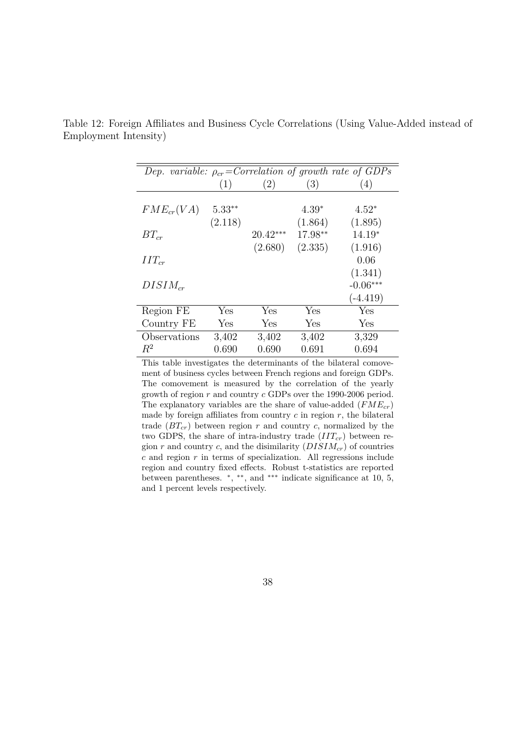| Dep. variable: $\rho_{cr}$ =Correlation of growth rate of GDPs |          |            |         |            |
|----------------------------------------------------------------|----------|------------|---------|------------|
|                                                                | (1)      | (2)        | (3)     | (4)        |
|                                                                |          |            |         |            |
| $FME_{cr}(VA)$                                                 | $5.33**$ |            | $4.39*$ | $4.52*$    |
|                                                                | (2.118)  |            | (1.864) | (1.895)    |
| $BT_{cr}$                                                      |          | $20.42***$ | 17.98** | $14.19*$   |
|                                                                |          | (2.680)    | (2.335) | (1.916)    |
| $IIT_{cr}$                                                     |          |            |         | 0.06       |
|                                                                |          |            |         | (1.341)    |
| $DISIM_{cr}$                                                   |          |            |         | $-0.06***$ |
|                                                                |          |            |         | $(-4.419)$ |
| Region FE                                                      | Yes      | Yes        | Yes     | Yes        |
| Country FE                                                     | Yes      | Yes        | Yes     | Yes        |
| Observations                                                   | 3,402    | 3,402      | 3,402   | 3,329      |
| $R^2$                                                          | 0.690    | 0.690      | 0.691   | 0.694      |
|                                                                |          |            |         |            |

<span id="page-38-0"></span>Table 12: Foreign Affiliates and Business Cycle Correlations (Using Value-Added instead of Employment Intensity)

This table investigates the determinants of the bilateral comovement of business cycles between French regions and foreign GDPs. The comovement is measured by the correlation of the yearly growth of region *r* and country *c* GDPs over the 1990-2006 period. The explanatory variables are the share of value-added (*FMEcr*) made by foreign affiliates from country  $c$  in region  $r$ , the bilateral trade  $(BT_{cr})$  between region  $r$  and country  $c$ , normalized by the two GDPS, the share of intra-industry trade  $(III<sub>cr</sub>)$  between region  $r$  and country  $c$ , and the disimilarity  $(DISIM_{cr})$  of countries  $c$  and region  $r$  in terms of specialization. All regressions include region and country fixed effects. Robust t-statistics are reported between parentheses. <sup>∗</sup> , ∗∗, and ∗∗∗ indicate significance at 10, 5, and 1 percent levels respectively.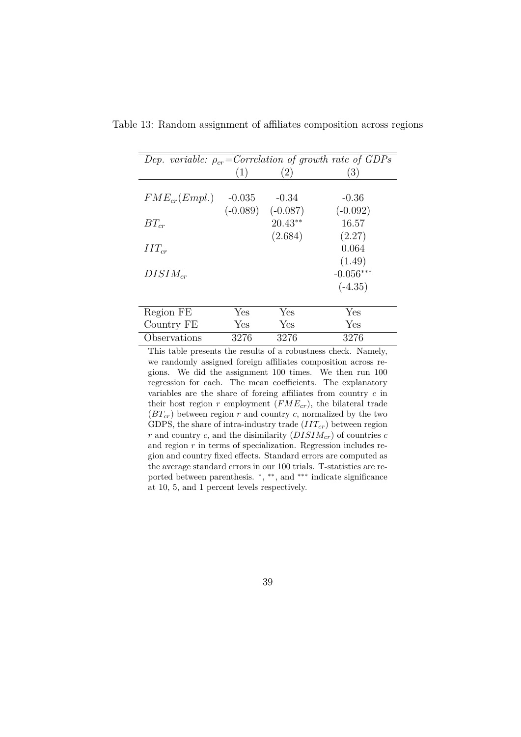| Dep. variable: $\rho_{cr}$ =Correlation of growth rate of GDPs |            |                   |             |
|----------------------------------------------------------------|------------|-------------------|-------------|
|                                                                | (1)        | $\left( 2\right)$ | (3)         |
| $FME_{cr}(Empl.)$                                              | $-0.035$   | $-0.34$           | $-0.36$     |
|                                                                | $(-0.089)$ | $(-0.087)$        | $(-0.092)$  |
| $BT_{cr}$                                                      |            | $20.43**$         | 16.57       |
|                                                                |            | (2.684)           | (2.27)      |
| $IIT_{cr}$                                                     |            |                   | 0.064       |
|                                                                |            |                   | (1.49)      |
| $DISIM_{cr}$                                                   |            |                   | $-0.056***$ |
|                                                                |            |                   | $(-4.35)$   |
| Region FE                                                      | Yes        | Yes               | Yes         |
| Country FE                                                     | Yes        | Yes               | Yes         |
| Observations                                                   | 3276       | 3276              | 3276        |
|                                                                |            |                   |             |

<span id="page-39-0"></span>Table 13: Random assignment of affiliates composition across regions

This table presents the results of a robustness check. Namely, we randomly assigned foreign affiliates composition across regions. We did the assignment 100 times. We then run 100 regression for each. The mean coefficients. The explanatory variables are the share of foreing affiliates from country *c* in their host region  $r$  employment  $(FME_{cr})$ , the bilateral trade  $(BT_{cr})$  between region *r* and country *c*, normalized by the two GDPS, the share of intra-industry trade (*IITcr*) between region  $r$  and country  $c$ , and the disimilarity  $(DISIM_{cr})$  of countries  $c$ and region *r* in terms of specialization. Regression includes region and country fixed effects. Standard errors are computed as the average standard errors in our 100 trials. T-statistics are reported between parenthesis.  $*, **$ , and \*\*\* indicate significance at 10, 5, and 1 percent levels respectively.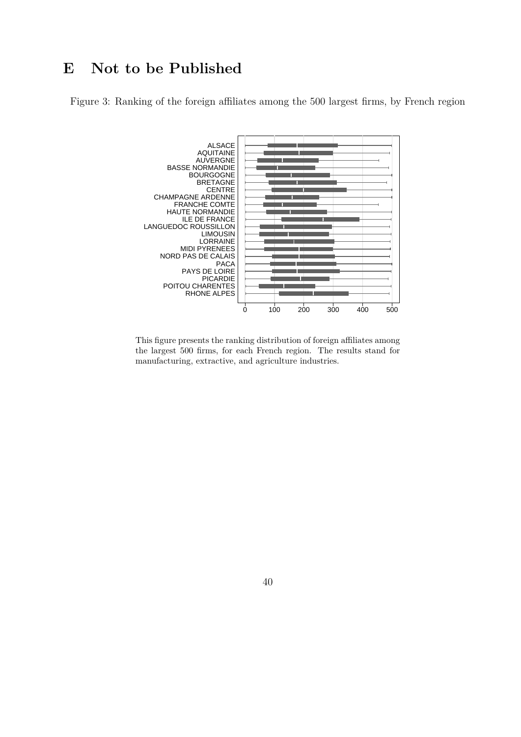# <span id="page-40-0"></span>**E Not to be Published**

Figure 3: Ranking of the foreign affiliates among the 500 largest firms, by French region



This figure presents the ranking distribution of foreign affiliates among the largest 500 firms, for each French region. The results stand for manufacturing, extractive, and agriculture industries.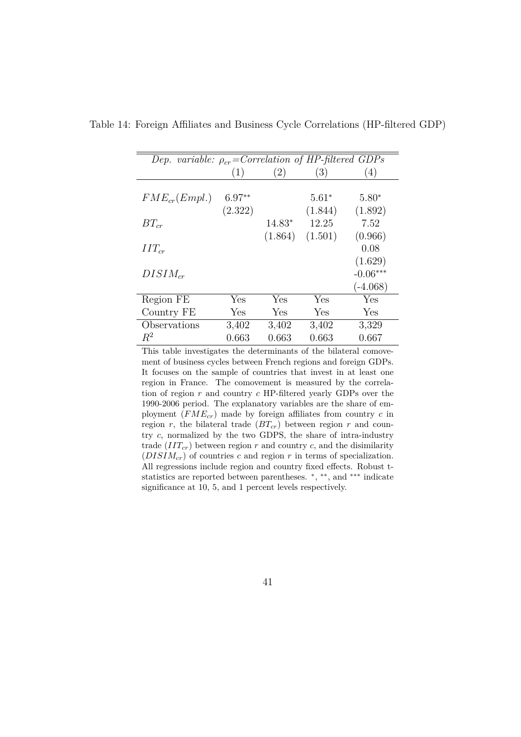| Dep. variable: $\rho_{cr}$ =Correlation of HP-filtered GDPs |                     |          |                    |                    |
|-------------------------------------------------------------|---------------------|----------|--------------------|--------------------|
|                                                             | (1)                 | (2)      | (3)                | (4)                |
| $FME_{cr}(Empl.)$                                           | $6.97**$<br>(2.322) |          | $5.61*$<br>(1.844) | $5.80*$<br>(1.892) |
| $BT_{cr}$                                                   |                     | $14.83*$ | 12.25              | 7.52               |
|                                                             |                     | (1.864)  | (1.501)            | (0.966)            |
| $IIT_{cr}$                                                  |                     |          |                    | 0.08               |
|                                                             |                     |          |                    | (1.629)            |
| $DISIM_{cr}$                                                |                     |          |                    | $-0.06***$         |
|                                                             |                     |          |                    | $(-4.068)$         |
| Region FE                                                   | Yes                 | Yes      | Yes                | Yes                |
| Country FE                                                  | Yes                 | Yes      | Yes                | Yes                |
| Observations                                                | 3,402               | 3,402    | 3,402              | 3,329              |
| $R^2$                                                       | 0.663               | 0.663    | 0.663              | 0.667              |

<span id="page-41-0"></span>Table 14: Foreign Affiliates and Business Cycle Correlations (HP-filtered GDP)

This table investigates the determinants of the bilateral comovement of business cycles between French regions and foreign GDPs. It focuses on the sample of countries that invest in at least one region in France. The comovement is measured by the correlation of region *r* and country *c* HP-filtered yearly GDPs over the 1990-2006 period. The explanatory variables are the share of employment (*FMEcr*) made by foreign affiliates from country *c* in region *r*, the bilateral trade  $(BT_{cr})$  between region *r* and country *c*, normalized by the two GDPS, the share of intra-industry trade  $(III_{cr})$  between region  $r$  and country  $c$ , and the disimilarity  $(DISIM<sub>cr</sub>)$  of countries *c* and region *r* in terms of specialization. All regressions include region and country fixed effects. Robust tstatistics are reported between parentheses. <sup>∗</sup> , ∗∗, and ∗∗∗ indicate significance at 10, 5, and 1 percent levels respectively.